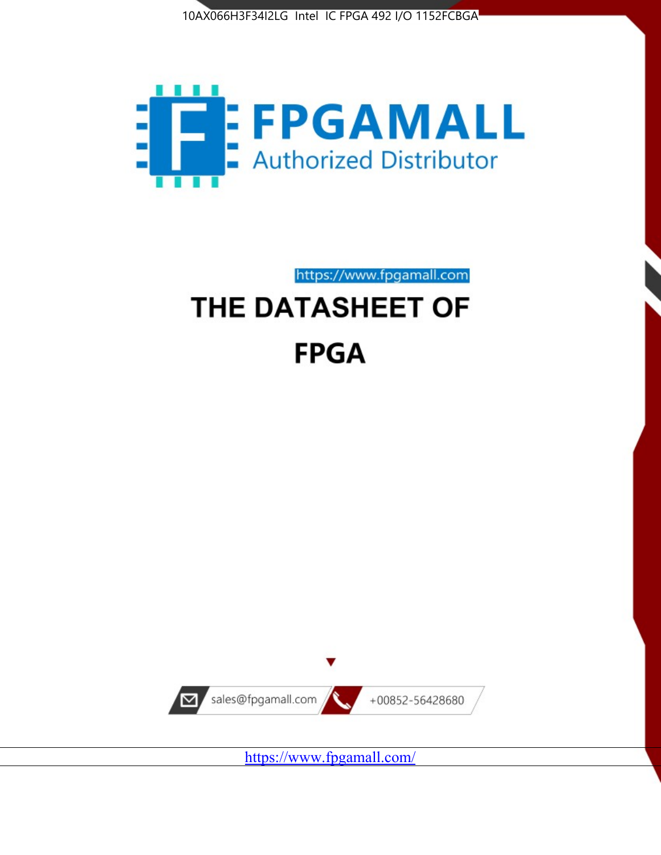



https://www.fpgamall.com

# THE DATASHEET OF **FPGA**



<https://www.fpgamall.com/>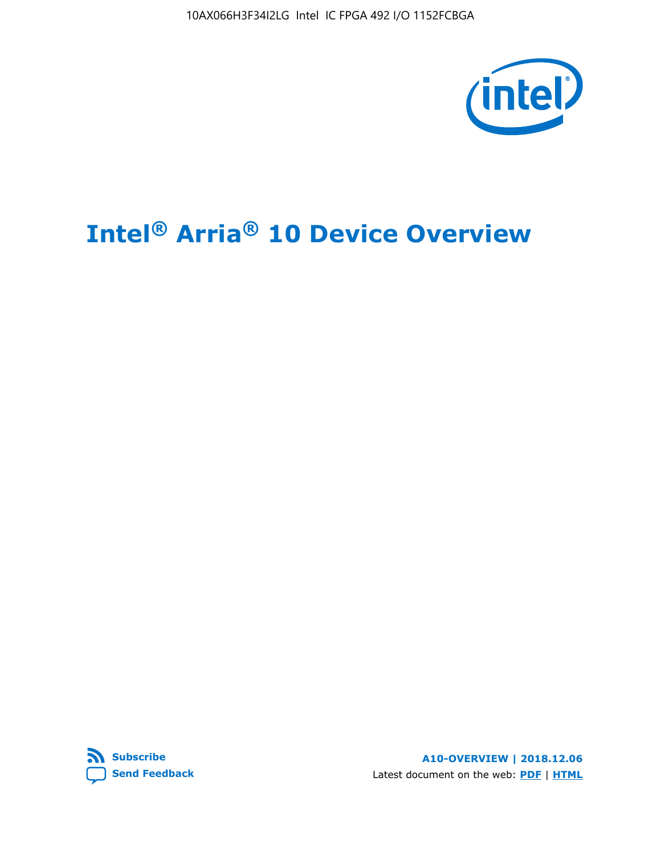10AX066H3F34I2LG Intel IC FPGA 492 I/O 1152FCBGA



# **Intel® Arria® 10 Device Overview**



**A10-OVERVIEW | 2018.12.06** Latest document on the web: **[PDF](https://www.intel.com/content/dam/www/programmable/us/en/pdfs/literature/hb/arria-10/a10_overview.pdf)** | **[HTML](https://www.intel.com/content/www/us/en/programmable/documentation/sam1403480274650.html)**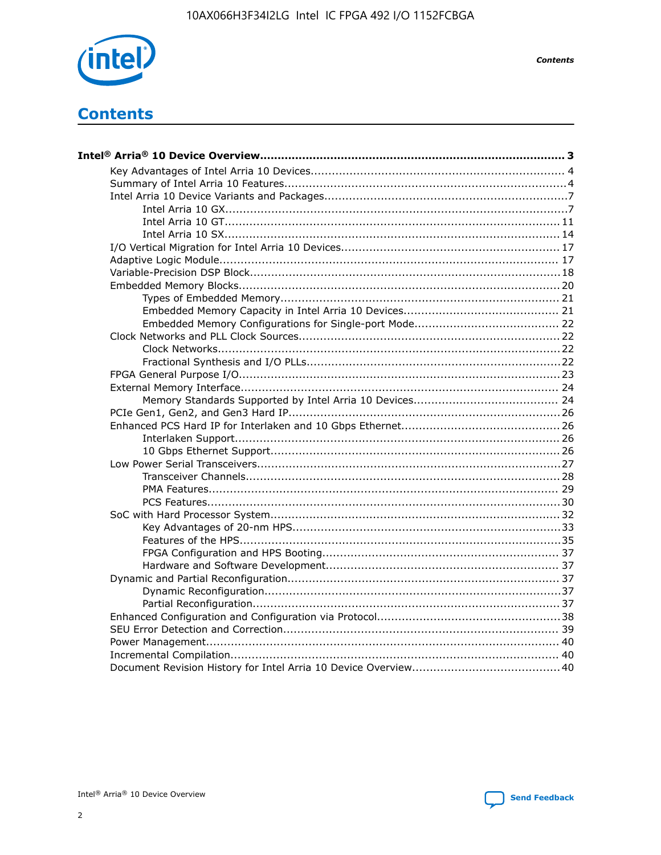

**Contents** 

# **Contents**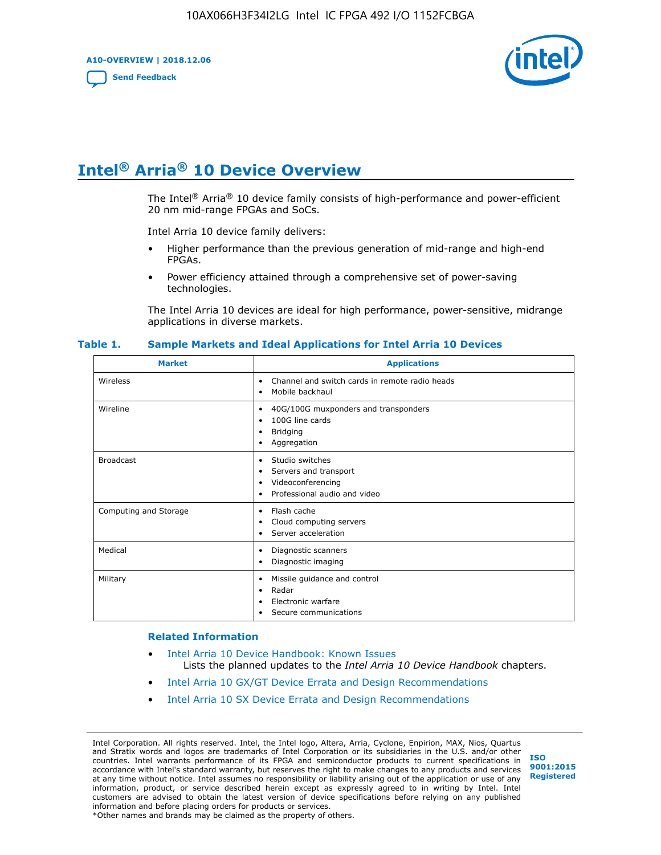**A10-OVERVIEW | 2018.12.06**

**[Send Feedback](mailto:FPGAtechdocfeedback@intel.com?subject=Feedback%20on%20Intel%20Arria%2010%20Device%20Overview%20(A10-OVERVIEW%202018.12.06)&body=We%20appreciate%20your%20feedback.%20In%20your%20comments,%20also%20specify%20the%20page%20number%20or%20paragraph.%20Thank%20you.)**



# **Intel® Arria® 10 Device Overview**

The Intel<sup>®</sup> Arria<sup>®</sup> 10 device family consists of high-performance and power-efficient 20 nm mid-range FPGAs and SoCs.

Intel Arria 10 device family delivers:

- Higher performance than the previous generation of mid-range and high-end FPGAs.
- Power efficiency attained through a comprehensive set of power-saving technologies.

The Intel Arria 10 devices are ideal for high performance, power-sensitive, midrange applications in diverse markets.

| <b>Market</b>         | <b>Applications</b>                                                                                               |
|-----------------------|-------------------------------------------------------------------------------------------------------------------|
| Wireless              | Channel and switch cards in remote radio heads<br>٠<br>Mobile backhaul<br>٠                                       |
| Wireline              | 40G/100G muxponders and transponders<br>٠<br>100G line cards<br>٠<br><b>Bridging</b><br>٠<br>Aggregation<br>٠     |
| <b>Broadcast</b>      | Studio switches<br>٠<br>Servers and transport<br>٠<br>Videoconferencing<br>٠<br>Professional audio and video<br>٠ |
| Computing and Storage | Flash cache<br>٠<br>Cloud computing servers<br>٠<br>Server acceleration<br>٠                                      |
| Medical               | Diagnostic scanners<br>٠<br>Diagnostic imaging<br>٠                                                               |
| Military              | Missile guidance and control<br>٠<br>Radar<br>٠<br>Electronic warfare<br>٠<br>Secure communications<br>٠          |

#### **Table 1. Sample Markets and Ideal Applications for Intel Arria 10 Devices**

#### **Related Information**

- [Intel Arria 10 Device Handbook: Known Issues](http://www.altera.com/support/kdb/solutions/rd07302013_646.html) Lists the planned updates to the *Intel Arria 10 Device Handbook* chapters.
- [Intel Arria 10 GX/GT Device Errata and Design Recommendations](https://www.intel.com/content/www/us/en/programmable/documentation/agz1493851706374.html#yqz1494433888646)
- [Intel Arria 10 SX Device Errata and Design Recommendations](https://www.intel.com/content/www/us/en/programmable/documentation/cru1462832385668.html#cru1462832558642)

Intel Corporation. All rights reserved. Intel, the Intel logo, Altera, Arria, Cyclone, Enpirion, MAX, Nios, Quartus and Stratix words and logos are trademarks of Intel Corporation or its subsidiaries in the U.S. and/or other countries. Intel warrants performance of its FPGA and semiconductor products to current specifications in accordance with Intel's standard warranty, but reserves the right to make changes to any products and services at any time without notice. Intel assumes no responsibility or liability arising out of the application or use of any information, product, or service described herein except as expressly agreed to in writing by Intel. Intel customers are advised to obtain the latest version of device specifications before relying on any published information and before placing orders for products or services. \*Other names and brands may be claimed as the property of others.

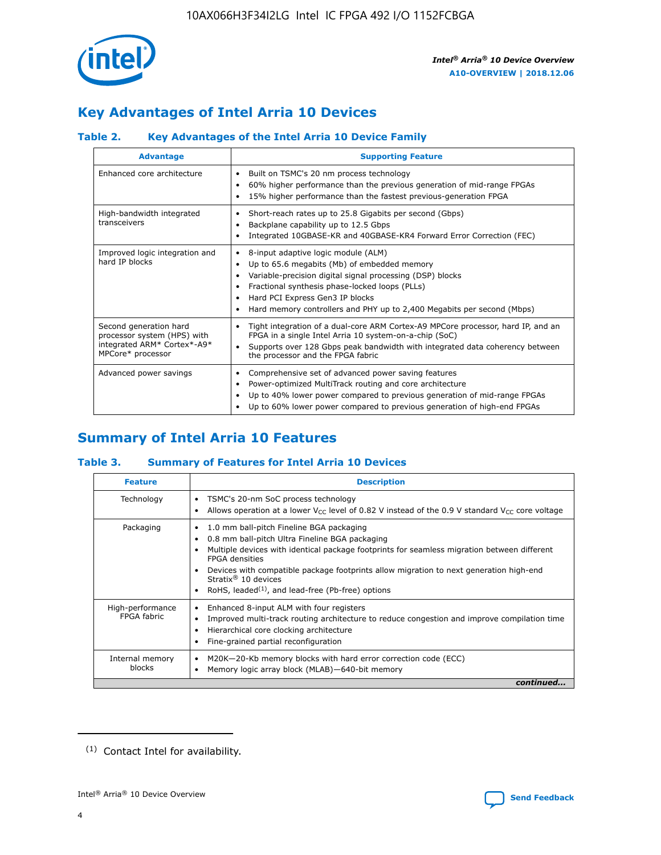

# **Key Advantages of Intel Arria 10 Devices**

# **Table 2. Key Advantages of the Intel Arria 10 Device Family**

| <b>Advantage</b>                                                                                          | <b>Supporting Feature</b>                                                                                                                                                                                                                                                                                                |
|-----------------------------------------------------------------------------------------------------------|--------------------------------------------------------------------------------------------------------------------------------------------------------------------------------------------------------------------------------------------------------------------------------------------------------------------------|
| Enhanced core architecture                                                                                | Built on TSMC's 20 nm process technology<br>٠<br>60% higher performance than the previous generation of mid-range FPGAs<br>٠<br>15% higher performance than the fastest previous-generation FPGA<br>٠                                                                                                                    |
| High-bandwidth integrated<br>transceivers                                                                 | Short-reach rates up to 25.8 Gigabits per second (Gbps)<br>٠<br>Backplane capability up to 12.5 Gbps<br>٠<br>Integrated 10GBASE-KR and 40GBASE-KR4 Forward Error Correction (FEC)<br>٠                                                                                                                                   |
| Improved logic integration and<br>hard IP blocks                                                          | 8-input adaptive logic module (ALM)<br>٠<br>Up to 65.6 megabits (Mb) of embedded memory<br>٠<br>Variable-precision digital signal processing (DSP) blocks<br>Fractional synthesis phase-locked loops (PLLs)<br>Hard PCI Express Gen3 IP blocks<br>Hard memory controllers and PHY up to 2,400 Megabits per second (Mbps) |
| Second generation hard<br>processor system (HPS) with<br>integrated ARM* Cortex*-A9*<br>MPCore* processor | Tight integration of a dual-core ARM Cortex-A9 MPCore processor, hard IP, and an<br>٠<br>FPGA in a single Intel Arria 10 system-on-a-chip (SoC)<br>Supports over 128 Gbps peak bandwidth with integrated data coherency between<br>$\bullet$<br>the processor and the FPGA fabric                                        |
| Advanced power savings                                                                                    | Comprehensive set of advanced power saving features<br>٠<br>Power-optimized MultiTrack routing and core architecture<br>٠<br>Up to 40% lower power compared to previous generation of mid-range FPGAs<br>Up to 60% lower power compared to previous generation of high-end FPGAs                                         |

# **Summary of Intel Arria 10 Features**

## **Table 3. Summary of Features for Intel Arria 10 Devices**

| <b>Feature</b>                  | <b>Description</b>                                                                                                                                                                                                                                                                                                                                                                                           |
|---------------------------------|--------------------------------------------------------------------------------------------------------------------------------------------------------------------------------------------------------------------------------------------------------------------------------------------------------------------------------------------------------------------------------------------------------------|
| Technology                      | TSMC's 20-nm SoC process technology<br>Allows operation at a lower $V_{\text{CC}}$ level of 0.82 V instead of the 0.9 V standard $V_{\text{CC}}$ core voltage                                                                                                                                                                                                                                                |
| Packaging                       | 1.0 mm ball-pitch Fineline BGA packaging<br>٠<br>0.8 mm ball-pitch Ultra Fineline BGA packaging<br>Multiple devices with identical package footprints for seamless migration between different<br><b>FPGA</b> densities<br>Devices with compatible package footprints allow migration to next generation high-end<br>Stratix <sup>®</sup> 10 devices<br>RoHS, leaded $(1)$ , and lead-free (Pb-free) options |
| High-performance<br>FPGA fabric | Enhanced 8-input ALM with four registers<br>Improved multi-track routing architecture to reduce congestion and improve compilation time<br>Hierarchical core clocking architecture<br>Fine-grained partial reconfiguration                                                                                                                                                                                   |
| Internal memory<br>blocks       | M20K-20-Kb memory blocks with hard error correction code (ECC)<br>Memory logic array block (MLAB)-640-bit memory                                                                                                                                                                                                                                                                                             |
|                                 | continued                                                                                                                                                                                                                                                                                                                                                                                                    |



<sup>(1)</sup> Contact Intel for availability.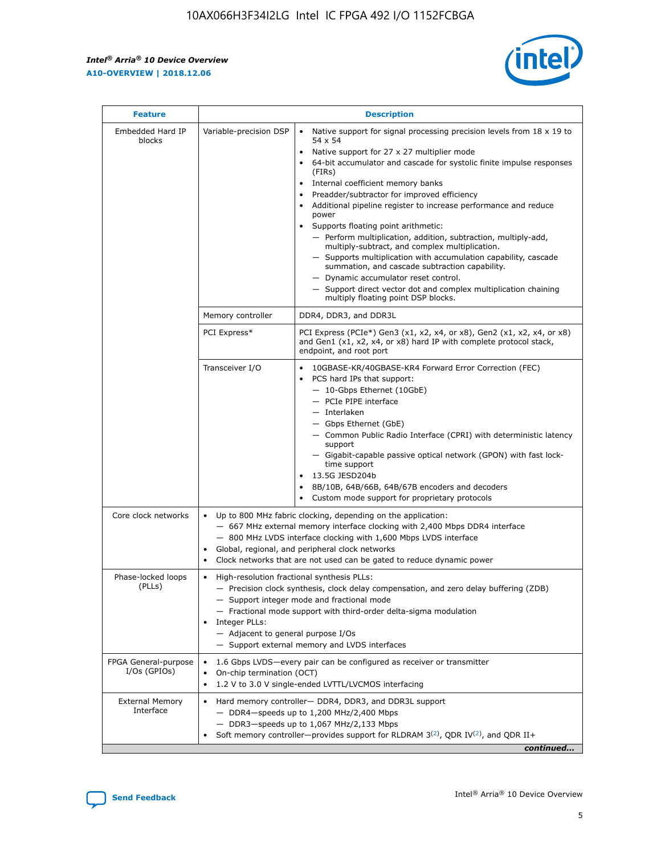r



| <b>Feature</b>                         |                                                                                                                | <b>Description</b>                                                                                                                                                                                                                                                                                                                                                                                                                                                                                                                                                                                                                                                                                                                                                                                                                     |  |  |  |  |  |  |
|----------------------------------------|----------------------------------------------------------------------------------------------------------------|----------------------------------------------------------------------------------------------------------------------------------------------------------------------------------------------------------------------------------------------------------------------------------------------------------------------------------------------------------------------------------------------------------------------------------------------------------------------------------------------------------------------------------------------------------------------------------------------------------------------------------------------------------------------------------------------------------------------------------------------------------------------------------------------------------------------------------------|--|--|--|--|--|--|
| Embedded Hard IP<br>blocks             | Variable-precision DSP                                                                                         | Native support for signal processing precision levels from $18 \times 19$ to<br>54 x 54<br>Native support for 27 x 27 multiplier mode<br>64-bit accumulator and cascade for systolic finite impulse responses<br>(FIRs)<br>Internal coefficient memory banks<br>$\bullet$<br>Preadder/subtractor for improved efficiency<br>Additional pipeline register to increase performance and reduce<br>power<br>Supports floating point arithmetic:<br>- Perform multiplication, addition, subtraction, multiply-add,<br>multiply-subtract, and complex multiplication.<br>- Supports multiplication with accumulation capability, cascade<br>summation, and cascade subtraction capability.<br>- Dynamic accumulator reset control.<br>- Support direct vector dot and complex multiplication chaining<br>multiply floating point DSP blocks. |  |  |  |  |  |  |
|                                        | Memory controller                                                                                              | DDR4, DDR3, and DDR3L                                                                                                                                                                                                                                                                                                                                                                                                                                                                                                                                                                                                                                                                                                                                                                                                                  |  |  |  |  |  |  |
|                                        | PCI Express*                                                                                                   | PCI Express (PCIe*) Gen3 (x1, x2, x4, or x8), Gen2 (x1, x2, x4, or x8)<br>and Gen1 (x1, x2, x4, or x8) hard IP with complete protocol stack,<br>endpoint, and root port                                                                                                                                                                                                                                                                                                                                                                                                                                                                                                                                                                                                                                                                |  |  |  |  |  |  |
|                                        | Transceiver I/O                                                                                                | 10GBASE-KR/40GBASE-KR4 Forward Error Correction (FEC)<br>PCS hard IPs that support:<br>$\bullet$<br>- 10-Gbps Ethernet (10GbE)<br>- PCIe PIPE interface<br>$-$ Interlaken<br>- Gbps Ethernet (GbE)<br>- Common Public Radio Interface (CPRI) with deterministic latency<br>support<br>- Gigabit-capable passive optical network (GPON) with fast lock-<br>time support<br>13.5G JESD204b<br>$\bullet$<br>8B/10B, 64B/66B, 64B/67B encoders and decoders<br>Custom mode support for proprietary protocols                                                                                                                                                                                                                                                                                                                               |  |  |  |  |  |  |
| Core clock networks                    | $\bullet$<br>$\bullet$                                                                                         | Up to 800 MHz fabric clocking, depending on the application:<br>- 667 MHz external memory interface clocking with 2,400 Mbps DDR4 interface<br>- 800 MHz LVDS interface clocking with 1,600 Mbps LVDS interface<br>Global, regional, and peripheral clock networks<br>Clock networks that are not used can be gated to reduce dynamic power                                                                                                                                                                                                                                                                                                                                                                                                                                                                                            |  |  |  |  |  |  |
| Phase-locked loops<br>(PLLs)           | High-resolution fractional synthesis PLLs:<br>$\bullet$<br>Integer PLLs:<br>- Adjacent to general purpose I/Os | - Precision clock synthesis, clock delay compensation, and zero delay buffering (ZDB)<br>- Support integer mode and fractional mode<br>- Fractional mode support with third-order delta-sigma modulation<br>- Support external memory and LVDS interfaces                                                                                                                                                                                                                                                                                                                                                                                                                                                                                                                                                                              |  |  |  |  |  |  |
| FPGA General-purpose<br>$I/Os$ (GPIOs) | On-chip termination (OCT)                                                                                      | 1.6 Gbps LVDS-every pair can be configured as receiver or transmitter<br>1.2 V to 3.0 V single-ended LVTTL/LVCMOS interfacing                                                                                                                                                                                                                                                                                                                                                                                                                                                                                                                                                                                                                                                                                                          |  |  |  |  |  |  |
| <b>External Memory</b><br>Interface    |                                                                                                                | Hard memory controller- DDR4, DDR3, and DDR3L support<br>$-$ DDR4 $-$ speeds up to 1,200 MHz/2,400 Mbps<br>- DDR3-speeds up to 1,067 MHz/2,133 Mbps<br>Soft memory controller—provides support for RLDRAM $3^{(2)}$ , QDR IV $^{(2)}$ , and QDR II+<br>continued                                                                                                                                                                                                                                                                                                                                                                                                                                                                                                                                                                       |  |  |  |  |  |  |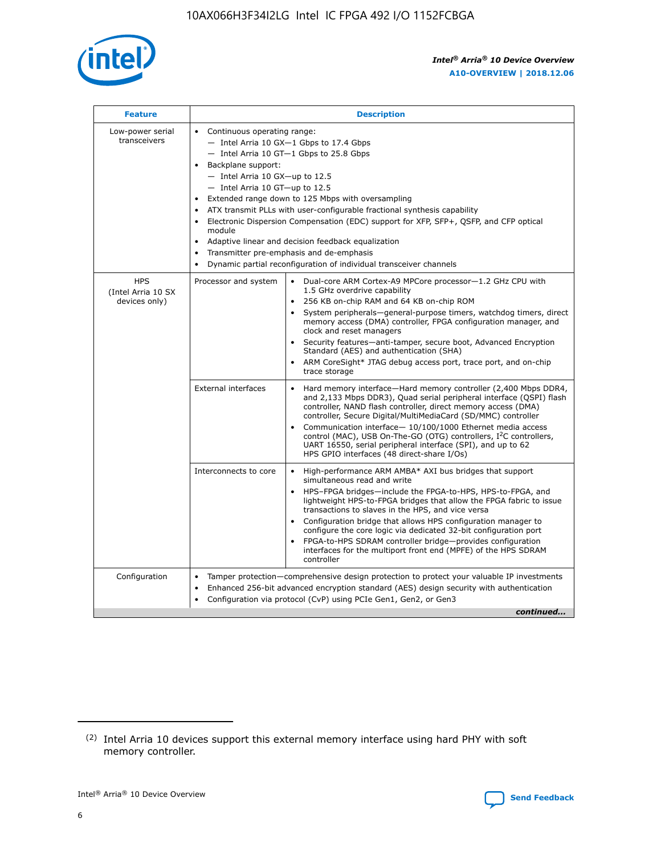

| <b>Feature</b>                                    | <b>Description</b>                                                                                                                                                                                                                                                                                                                                                                                                                                                                                                                                                                                                                         |
|---------------------------------------------------|--------------------------------------------------------------------------------------------------------------------------------------------------------------------------------------------------------------------------------------------------------------------------------------------------------------------------------------------------------------------------------------------------------------------------------------------------------------------------------------------------------------------------------------------------------------------------------------------------------------------------------------------|
| Low-power serial<br>transceivers                  | • Continuous operating range:<br>- Intel Arria 10 GX-1 Gbps to 17.4 Gbps<br>- Intel Arria 10 GT-1 Gbps to 25.8 Gbps<br>Backplane support:<br>$-$ Intel Arria 10 GX-up to 12.5<br>- Intel Arria 10 GT-up to 12.5<br>Extended range down to 125 Mbps with oversampling<br>ATX transmit PLLs with user-configurable fractional synthesis capability<br>Electronic Dispersion Compensation (EDC) support for XFP, SFP+, QSFP, and CFP optical<br>module<br>• Adaptive linear and decision feedback equalization<br>Transmitter pre-emphasis and de-emphasis<br>$\bullet$<br>Dynamic partial reconfiguration of individual transceiver channels |
| <b>HPS</b><br>(Intel Arria 10 SX<br>devices only) | Dual-core ARM Cortex-A9 MPCore processor-1.2 GHz CPU with<br>Processor and system<br>$\bullet$<br>1.5 GHz overdrive capability<br>256 KB on-chip RAM and 64 KB on-chip ROM<br>System peripherals-general-purpose timers, watchdog timers, direct<br>memory access (DMA) controller, FPGA configuration manager, and<br>clock and reset managers<br>Security features-anti-tamper, secure boot, Advanced Encryption<br>$\bullet$<br>Standard (AES) and authentication (SHA)<br>ARM CoreSight* JTAG debug access port, trace port, and on-chip<br>trace storage                                                                              |
|                                                   | <b>External interfaces</b><br>Hard memory interface-Hard memory controller (2,400 Mbps DDR4,<br>$\bullet$<br>and 2,133 Mbps DDR3), Quad serial peripheral interface (QSPI) flash<br>controller, NAND flash controller, direct memory access (DMA)<br>controller, Secure Digital/MultiMediaCard (SD/MMC) controller<br>Communication interface-10/100/1000 Ethernet media access<br>$\bullet$<br>control (MAC), USB On-The-GO (OTG) controllers, I <sup>2</sup> C controllers,<br>UART 16550, serial peripheral interface (SPI), and up to 62<br>HPS GPIO interfaces (48 direct-share I/Os)                                                 |
|                                                   | High-performance ARM AMBA* AXI bus bridges that support<br>Interconnects to core<br>$\bullet$<br>simultaneous read and write<br>HPS-FPGA bridges-include the FPGA-to-HPS, HPS-to-FPGA, and<br>$\bullet$<br>lightweight HPS-to-FPGA bridges that allow the FPGA fabric to issue<br>transactions to slaves in the HPS, and vice versa<br>Configuration bridge that allows HPS configuration manager to<br>configure the core logic via dedicated 32-bit configuration port<br>FPGA-to-HPS SDRAM controller bridge-provides configuration<br>interfaces for the multiport front end (MPFE) of the HPS SDRAM<br>controller                     |
| Configuration                                     | Tamper protection—comprehensive design protection to protect your valuable IP investments<br>Enhanced 256-bit advanced encryption standard (AES) design security with authentication<br>٠<br>Configuration via protocol (CvP) using PCIe Gen1, Gen2, or Gen3<br>continued                                                                                                                                                                                                                                                                                                                                                                  |

<sup>(2)</sup> Intel Arria 10 devices support this external memory interface using hard PHY with soft memory controller.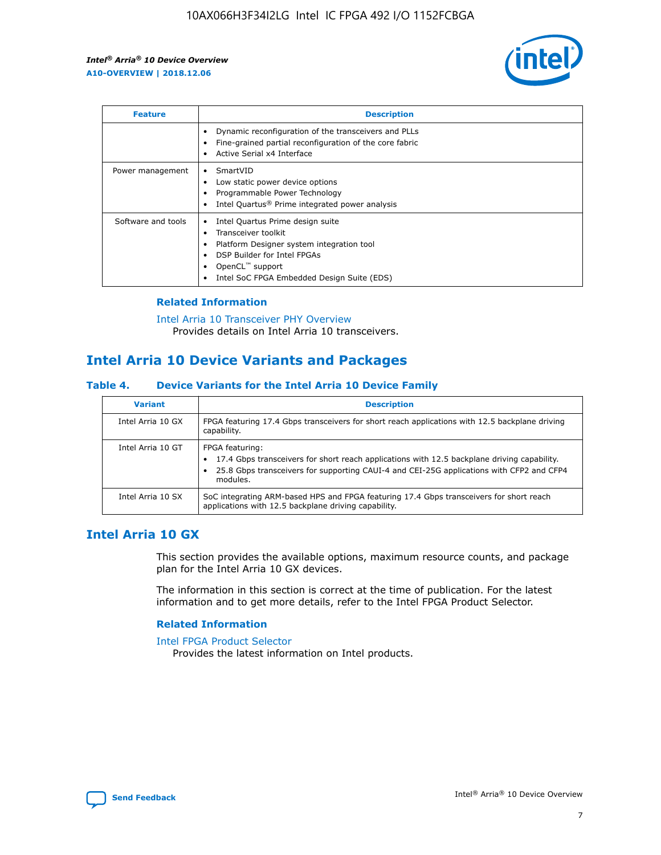

| <b>Feature</b>     | <b>Description</b>                                                                                                                                                                                                            |
|--------------------|-------------------------------------------------------------------------------------------------------------------------------------------------------------------------------------------------------------------------------|
|                    | Dynamic reconfiguration of the transceivers and PLLs<br>Fine-grained partial reconfiguration of the core fabric<br>Active Serial x4 Interface<br>$\bullet$                                                                    |
| Power management   | SmartVID<br>Low static power device options<br>Programmable Power Technology<br>Intel Quartus <sup>®</sup> Prime integrated power analysis                                                                                    |
| Software and tools | Intel Quartus Prime design suite<br>Transceiver toolkit<br>$\bullet$<br>Platform Designer system integration tool<br>DSP Builder for Intel FPGAs<br>OpenCL <sup>"</sup> support<br>Intel SoC FPGA Embedded Design Suite (EDS) |

## **Related Information**

[Intel Arria 10 Transceiver PHY Overview](https://www.intel.com/content/www/us/en/programmable/documentation/nik1398707230472.html#nik1398706768037) Provides details on Intel Arria 10 transceivers.

# **Intel Arria 10 Device Variants and Packages**

#### **Table 4. Device Variants for the Intel Arria 10 Device Family**

| <b>Variant</b>    | <b>Description</b>                                                                                                                                                                                                     |
|-------------------|------------------------------------------------------------------------------------------------------------------------------------------------------------------------------------------------------------------------|
| Intel Arria 10 GX | FPGA featuring 17.4 Gbps transceivers for short reach applications with 12.5 backplane driving<br>capability.                                                                                                          |
| Intel Arria 10 GT | FPGA featuring:<br>17.4 Gbps transceivers for short reach applications with 12.5 backplane driving capability.<br>25.8 Gbps transceivers for supporting CAUI-4 and CEI-25G applications with CFP2 and CFP4<br>modules. |
| Intel Arria 10 SX | SoC integrating ARM-based HPS and FPGA featuring 17.4 Gbps transceivers for short reach<br>applications with 12.5 backplane driving capability.                                                                        |

# **Intel Arria 10 GX**

This section provides the available options, maximum resource counts, and package plan for the Intel Arria 10 GX devices.

The information in this section is correct at the time of publication. For the latest information and to get more details, refer to the Intel FPGA Product Selector.

#### **Related Information**

#### [Intel FPGA Product Selector](http://www.altera.com/products/selector/psg-selector.html) Provides the latest information on Intel products.

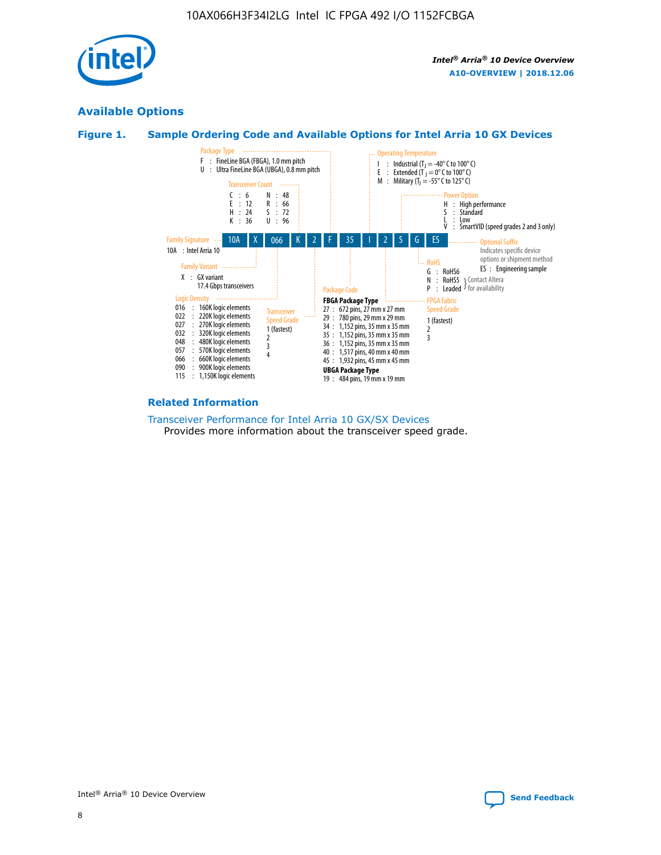

# **Available Options**





#### **Related Information**

[Transceiver Performance for Intel Arria 10 GX/SX Devices](https://www.intel.com/content/www/us/en/programmable/documentation/mcn1413182292568.html#mcn1413213965502) Provides more information about the transceiver speed grade.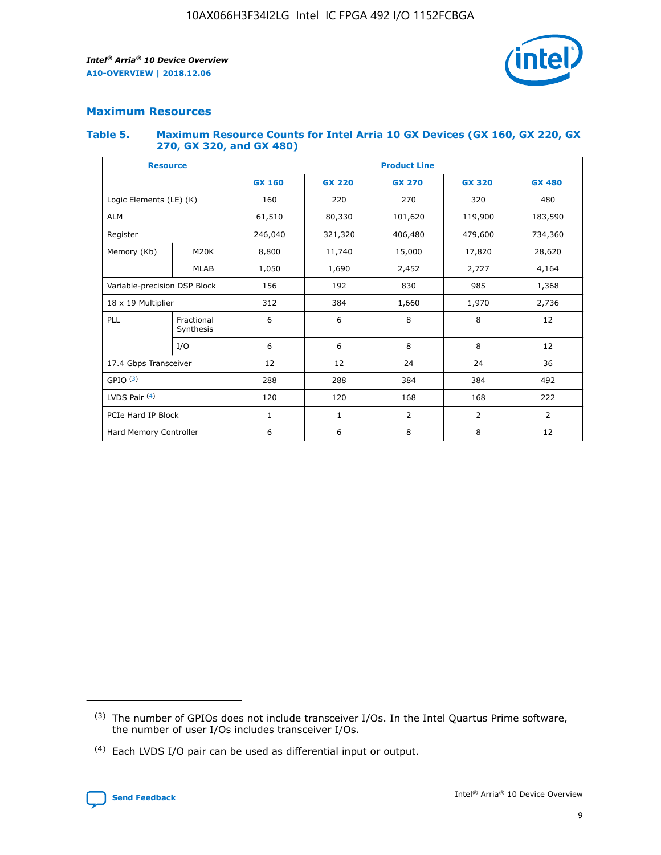

# **Maximum Resources**

#### **Table 5. Maximum Resource Counts for Intel Arria 10 GX Devices (GX 160, GX 220, GX 270, GX 320, and GX 480)**

| <b>Resource</b>              |                         | <b>Product Line</b> |                                |                  |                |                |  |  |  |
|------------------------------|-------------------------|---------------------|--------------------------------|------------------|----------------|----------------|--|--|--|
|                              |                         | <b>GX 160</b>       | <b>GX 220</b><br><b>GX 270</b> |                  | <b>GX 320</b>  | <b>GX 480</b>  |  |  |  |
| Logic Elements (LE) (K)      |                         | 160                 | 220                            | 270              | 320            | 480            |  |  |  |
| <b>ALM</b>                   |                         | 61,510              | 80,330                         | 101,620          | 119,900        | 183,590        |  |  |  |
| Register                     |                         | 246,040             | 321,320                        | 406,480          |                | 734,360        |  |  |  |
| Memory (Kb)                  | M <sub>20</sub> K       | 8,800               | 11,740                         | 15,000<br>17,820 |                | 28,620         |  |  |  |
| <b>MLAB</b>                  |                         | 1,050               | 1,690<br>2,452                 |                  | 2,727          | 4,164          |  |  |  |
| Variable-precision DSP Block |                         | 156                 | 192<br>830<br>985              |                  |                | 1,368          |  |  |  |
| 18 x 19 Multiplier           |                         | 312                 | 384                            | 1,970<br>1,660   |                | 2,736          |  |  |  |
| PLL                          | Fractional<br>Synthesis | 6                   | 6                              | 8                | 8              | 12             |  |  |  |
|                              | I/O                     | 6                   | 6                              | 8                | 8              | 12             |  |  |  |
| 17.4 Gbps Transceiver        |                         | 12                  | 12                             | 24               | 24             | 36             |  |  |  |
| GPIO <sup>(3)</sup>          |                         | 288                 | 288<br>384<br>384              |                  |                | 492            |  |  |  |
| LVDS Pair $(4)$              |                         | 120                 | 120                            | 168              | 168            | 222            |  |  |  |
| PCIe Hard IP Block           |                         | $\mathbf{1}$        | 1                              | $\overline{2}$   | $\overline{2}$ | $\overline{2}$ |  |  |  |
| Hard Memory Controller       |                         | 6                   | 6                              | 8                | 8              | 12             |  |  |  |

<sup>(4)</sup> Each LVDS I/O pair can be used as differential input or output.



<sup>(3)</sup> The number of GPIOs does not include transceiver I/Os. In the Intel Quartus Prime software, the number of user I/Os includes transceiver I/Os.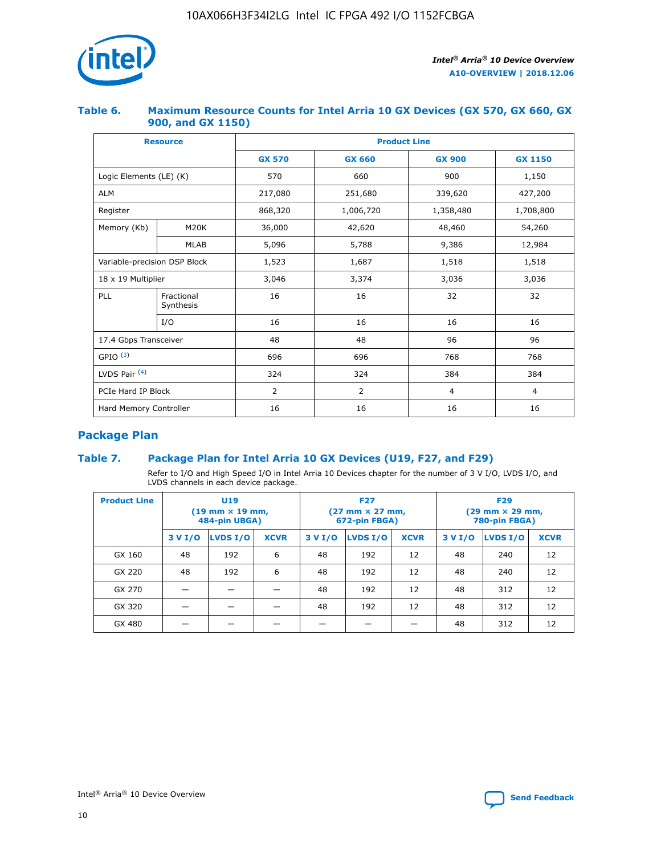

## **Table 6. Maximum Resource Counts for Intel Arria 10 GX Devices (GX 570, GX 660, GX 900, and GX 1150)**

|                              | <b>Resource</b>         | <b>Product Line</b> |               |                |                |  |  |  |  |
|------------------------------|-------------------------|---------------------|---------------|----------------|----------------|--|--|--|--|
|                              |                         | <b>GX 570</b>       | <b>GX 660</b> | <b>GX 900</b>  | <b>GX 1150</b> |  |  |  |  |
| Logic Elements (LE) (K)      |                         | 570                 | 660           | 900            | 1,150          |  |  |  |  |
| <b>ALM</b>                   |                         | 217,080             | 251,680       | 339,620        | 427,200        |  |  |  |  |
| Register                     |                         | 868,320             | 1,006,720     | 1,358,480      | 1,708,800      |  |  |  |  |
| Memory (Kb)                  | <b>M20K</b>             | 36,000              | 42,620        | 48,460         | 54,260         |  |  |  |  |
|                              | <b>MLAB</b>             | 5,096               | 5,788         | 9,386          | 12,984         |  |  |  |  |
| Variable-precision DSP Block |                         | 1,523               | 1,687         | 1,518          | 1,518          |  |  |  |  |
| $18 \times 19$ Multiplier    |                         | 3,046               | 3,374         | 3,036          | 3,036          |  |  |  |  |
| PLL                          | Fractional<br>Synthesis | 16                  | 16            | 32             | 32             |  |  |  |  |
|                              | I/O                     | 16                  | 16            | 16             | 16             |  |  |  |  |
| 17.4 Gbps Transceiver        |                         | 48                  | 48            | 96             | 96             |  |  |  |  |
| GPIO <sup>(3)</sup>          |                         | 696                 | 696           | 768            | 768            |  |  |  |  |
| LVDS Pair $(4)$              |                         | 324                 | 324           | 384            | 384            |  |  |  |  |
| PCIe Hard IP Block           |                         | 2                   | 2             | $\overline{4}$ | $\overline{4}$ |  |  |  |  |
| Hard Memory Controller       |                         | 16                  | 16            | 16             | 16             |  |  |  |  |

# **Package Plan**

## **Table 7. Package Plan for Intel Arria 10 GX Devices (U19, F27, and F29)**

Refer to I/O and High Speed I/O in Intel Arria 10 Devices chapter for the number of 3 V I/O, LVDS I/O, and LVDS channels in each device package.

| <b>Product Line</b> | U <sub>19</sub><br>$(19 \text{ mm} \times 19 \text{ mm})$<br>484-pin UBGA) |          |             |         | <b>F27</b><br>(27 mm × 27 mm,<br>672-pin FBGA) |             | <b>F29</b><br>(29 mm × 29 mm,<br>780-pin FBGA) |          |             |  |
|---------------------|----------------------------------------------------------------------------|----------|-------------|---------|------------------------------------------------|-------------|------------------------------------------------|----------|-------------|--|
|                     | 3 V I/O                                                                    | LVDS I/O | <b>XCVR</b> | 3 V I/O | <b>LVDS I/O</b>                                | <b>XCVR</b> | 3 V I/O                                        | LVDS I/O | <b>XCVR</b> |  |
| GX 160              | 48                                                                         | 192      | 6           | 48      | 192                                            | 12          | 48                                             | 240      | 12          |  |
| GX 220              | 48                                                                         | 192      | 6           | 48      | 192                                            | 12          | 48                                             | 240      | 12          |  |
| GX 270              |                                                                            |          |             | 48      | 192                                            | 12          | 48                                             | 312      | 12          |  |
| GX 320              |                                                                            |          |             | 48      | 192                                            | 12          | 48                                             | 312      | 12          |  |
| GX 480              |                                                                            |          |             |         |                                                |             | 48                                             | 312      | 12          |  |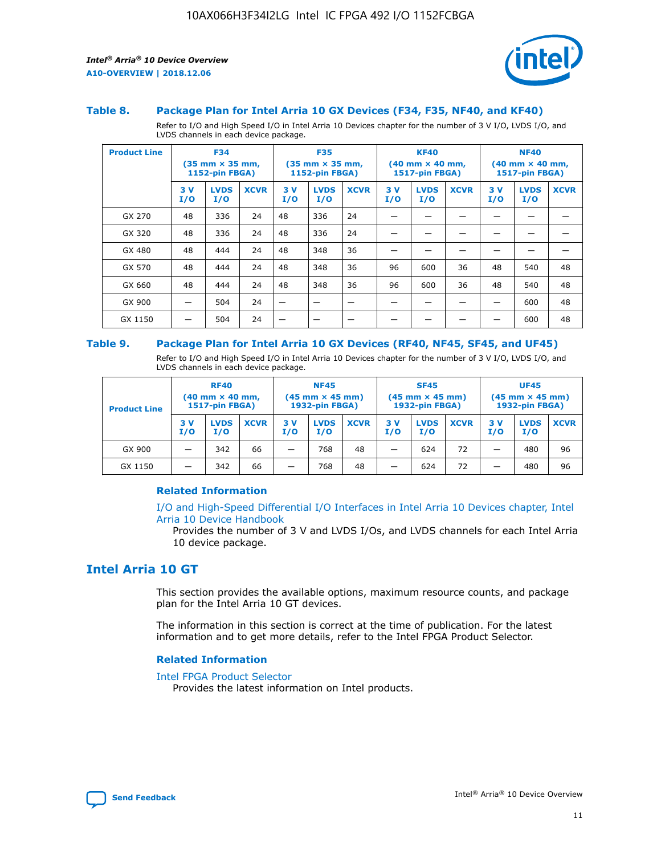



#### **Table 8. Package Plan for Intel Arria 10 GX Devices (F34, F35, NF40, and KF40)**

Refer to I/O and High Speed I/O in Intel Arria 10 Devices chapter for the number of 3 V I/O, LVDS I/O, and LVDS channels in each device package.

| <b>Product Line</b> | <b>F34</b><br>(35 mm × 35 mm,<br><b>1152-pin FBGA)</b> |                    | <b>F35</b><br>$(35$ mm $\times$ 35 mm,<br>1152-pin FBGA) |           | <b>KF40</b><br>$(40 \text{ mm} \times 40 \text{ mm})$<br>1517-pin FBGA) |             |           | <b>NF40</b><br>$(40 \text{ mm} \times 40 \text{ mm})$<br><b>1517-pin FBGA)</b> |             |           |                    |             |
|---------------------|--------------------------------------------------------|--------------------|----------------------------------------------------------|-----------|-------------------------------------------------------------------------|-------------|-----------|--------------------------------------------------------------------------------|-------------|-----------|--------------------|-------------|
|                     | 3V<br>I/O                                              | <b>LVDS</b><br>I/O | <b>XCVR</b>                                              | 3V<br>I/O | <b>LVDS</b><br>I/O                                                      | <b>XCVR</b> | 3V<br>I/O | <b>LVDS</b><br>I/O                                                             | <b>XCVR</b> | 3V<br>I/O | <b>LVDS</b><br>I/O | <b>XCVR</b> |
| GX 270              | 48                                                     | 336                | 24                                                       | 48        | 336                                                                     | 24          |           |                                                                                |             |           |                    |             |
| GX 320              | 48                                                     | 336                | 24                                                       | 48        | 336                                                                     | 24          |           |                                                                                |             |           |                    |             |
| GX 480              | 48                                                     | 444                | 24                                                       | 48        | 348                                                                     | 36          |           |                                                                                |             |           |                    |             |
| GX 570              | 48                                                     | 444                | 24                                                       | 48        | 348                                                                     | 36          | 96        | 600                                                                            | 36          | 48        | 540                | 48          |
| GX 660              | 48                                                     | 444                | 24                                                       | 48        | 348                                                                     | 36          | 96        | 600                                                                            | 36          | 48        | 540                | 48          |
| GX 900              |                                                        | 504                | 24                                                       | -         |                                                                         | -           |           |                                                                                |             |           | 600                | 48          |
| GX 1150             |                                                        | 504                | 24                                                       |           |                                                                         |             |           |                                                                                |             |           | 600                | 48          |

#### **Table 9. Package Plan for Intel Arria 10 GX Devices (RF40, NF45, SF45, and UF45)**

Refer to I/O and High Speed I/O in Intel Arria 10 Devices chapter for the number of 3 V I/O, LVDS I/O, and LVDS channels in each device package.

| <b>Product Line</b> | <b>RF40</b><br>$(40$ mm $\times$ 40 mm,<br>1517-pin FBGA) |                    | <b>NF45</b><br>$(45 \text{ mm} \times 45 \text{ mm})$<br><b>1932-pin FBGA)</b> |            |                    | <b>SF45</b><br>$(45 \text{ mm} \times 45 \text{ mm})$<br><b>1932-pin FBGA)</b> |            |                    | <b>UF45</b><br>$(45 \text{ mm} \times 45 \text{ mm})$<br><b>1932-pin FBGA)</b> |           |                    |             |
|---------------------|-----------------------------------------------------------|--------------------|--------------------------------------------------------------------------------|------------|--------------------|--------------------------------------------------------------------------------|------------|--------------------|--------------------------------------------------------------------------------|-----------|--------------------|-------------|
|                     | 3V<br>I/O                                                 | <b>LVDS</b><br>I/O | <b>XCVR</b>                                                                    | 3 V<br>I/O | <b>LVDS</b><br>I/O | <b>XCVR</b>                                                                    | 3 V<br>I/O | <b>LVDS</b><br>I/O | <b>XCVR</b>                                                                    | 3V<br>I/O | <b>LVDS</b><br>I/O | <b>XCVR</b> |
| GX 900              |                                                           | 342                | 66                                                                             | _          | 768                | 48                                                                             |            | 624                | 72                                                                             |           | 480                | 96          |
| GX 1150             |                                                           | 342                | 66                                                                             | _          | 768                | 48                                                                             |            | 624                | 72                                                                             |           | 480                | 96          |

#### **Related Information**

[I/O and High-Speed Differential I/O Interfaces in Intel Arria 10 Devices chapter, Intel](https://www.intel.com/content/www/us/en/programmable/documentation/sam1403482614086.html#sam1403482030321) [Arria 10 Device Handbook](https://www.intel.com/content/www/us/en/programmable/documentation/sam1403482614086.html#sam1403482030321)

Provides the number of 3 V and LVDS I/Os, and LVDS channels for each Intel Arria 10 device package.

# **Intel Arria 10 GT**

This section provides the available options, maximum resource counts, and package plan for the Intel Arria 10 GT devices.

The information in this section is correct at the time of publication. For the latest information and to get more details, refer to the Intel FPGA Product Selector.

#### **Related Information**

#### [Intel FPGA Product Selector](http://www.altera.com/products/selector/psg-selector.html)

Provides the latest information on Intel products.

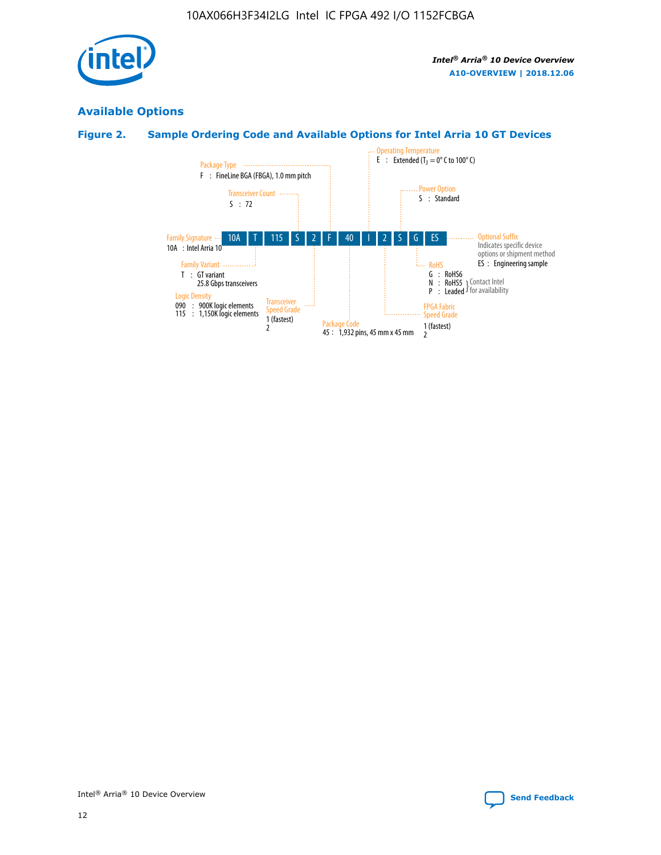

# **Available Options**

# **Figure 2. Sample Ordering Code and Available Options for Intel Arria 10 GT Devices**

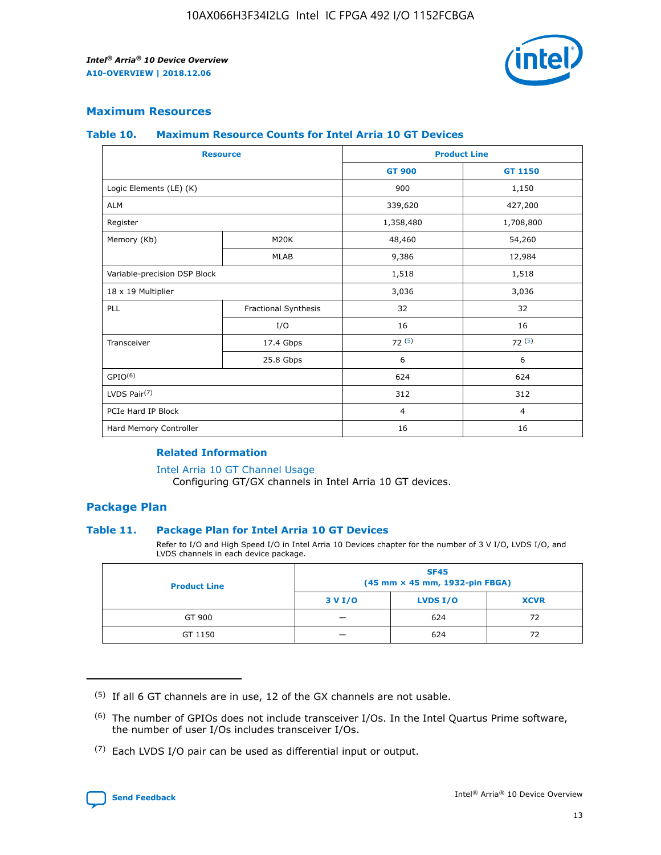

## **Maximum Resources**

#### **Table 10. Maximum Resource Counts for Intel Arria 10 GT Devices**

| <b>Resource</b>              |                      | <b>Product Line</b> |                |  |
|------------------------------|----------------------|---------------------|----------------|--|
|                              |                      | <b>GT 900</b>       | <b>GT 1150</b> |  |
| Logic Elements (LE) (K)      |                      | 900                 | 1,150          |  |
| <b>ALM</b>                   |                      | 339,620             | 427,200        |  |
| Register                     |                      | 1,358,480           | 1,708,800      |  |
| Memory (Kb)                  | M20K                 | 48,460              | 54,260         |  |
|                              | <b>MLAB</b>          | 9,386               | 12,984         |  |
| Variable-precision DSP Block |                      | 1,518               | 1,518          |  |
| 18 x 19 Multiplier           |                      | 3,036               | 3,036          |  |
| PLL                          | Fractional Synthesis | 32                  | 32             |  |
|                              | I/O                  | 16                  | 16             |  |
| Transceiver                  | 17.4 Gbps            | 72(5)               | 72(5)          |  |
|                              | 25.8 Gbps            | 6                   | 6              |  |
| GPIO <sup>(6)</sup>          |                      | 624                 | 624            |  |
| LVDS Pair $(7)$              |                      | 312                 | 312            |  |
| PCIe Hard IP Block           |                      | $\overline{4}$      | $\overline{4}$ |  |
| Hard Memory Controller       |                      | 16                  | 16             |  |

#### **Related Information**

#### [Intel Arria 10 GT Channel Usage](https://www.intel.com/content/www/us/en/programmable/documentation/nik1398707230472.html#nik1398707008178)

Configuring GT/GX channels in Intel Arria 10 GT devices.

## **Package Plan**

#### **Table 11. Package Plan for Intel Arria 10 GT Devices**

Refer to I/O and High Speed I/O in Intel Arria 10 Devices chapter for the number of 3 V I/O, LVDS I/O, and LVDS channels in each device package.

| <b>Product Line</b> | <b>SF45</b><br>(45 mm × 45 mm, 1932-pin FBGA) |                 |             |  |  |  |
|---------------------|-----------------------------------------------|-----------------|-------------|--|--|--|
|                     | 3 V I/O                                       | <b>LVDS I/O</b> | <b>XCVR</b> |  |  |  |
| GT 900              |                                               | 624             | 72          |  |  |  |
| GT 1150             |                                               | 624             | 72          |  |  |  |

<sup>(7)</sup> Each LVDS I/O pair can be used as differential input or output.



 $(5)$  If all 6 GT channels are in use, 12 of the GX channels are not usable.

<sup>(6)</sup> The number of GPIOs does not include transceiver I/Os. In the Intel Quartus Prime software, the number of user I/Os includes transceiver I/Os.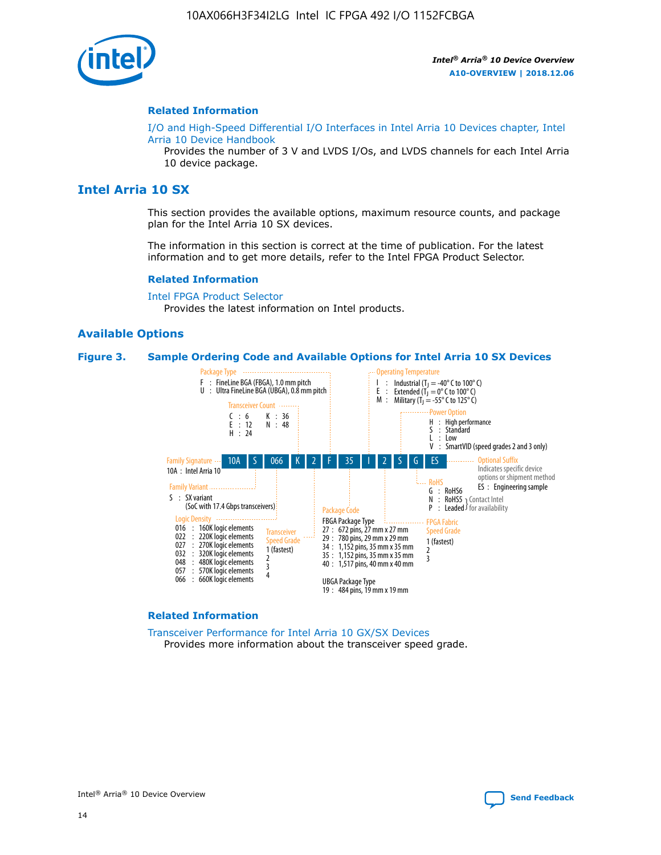

#### **Related Information**

[I/O and High-Speed Differential I/O Interfaces in Intel Arria 10 Devices chapter, Intel](https://www.intel.com/content/www/us/en/programmable/documentation/sam1403482614086.html#sam1403482030321) [Arria 10 Device Handbook](https://www.intel.com/content/www/us/en/programmable/documentation/sam1403482614086.html#sam1403482030321)

Provides the number of 3 V and LVDS I/Os, and LVDS channels for each Intel Arria 10 device package.

# **Intel Arria 10 SX**

This section provides the available options, maximum resource counts, and package plan for the Intel Arria 10 SX devices.

The information in this section is correct at the time of publication. For the latest information and to get more details, refer to the Intel FPGA Product Selector.

#### **Related Information**

[Intel FPGA Product Selector](http://www.altera.com/products/selector/psg-selector.html) Provides the latest information on Intel products.

#### **Available Options**

#### **Figure 3. Sample Ordering Code and Available Options for Intel Arria 10 SX Devices**



#### **Related Information**

[Transceiver Performance for Intel Arria 10 GX/SX Devices](https://www.intel.com/content/www/us/en/programmable/documentation/mcn1413182292568.html#mcn1413213965502) Provides more information about the transceiver speed grade.



Intel® Arria® 10 Device Overview **[Send Feedback](mailto:FPGAtechdocfeedback@intel.com?subject=Feedback%20on%20Intel%20Arria%2010%20Device%20Overview%20(A10-OVERVIEW%202018.12.06)&body=We%20appreciate%20your%20feedback.%20In%20your%20comments,%20also%20specify%20the%20page%20number%20or%20paragraph.%20Thank%20you.)**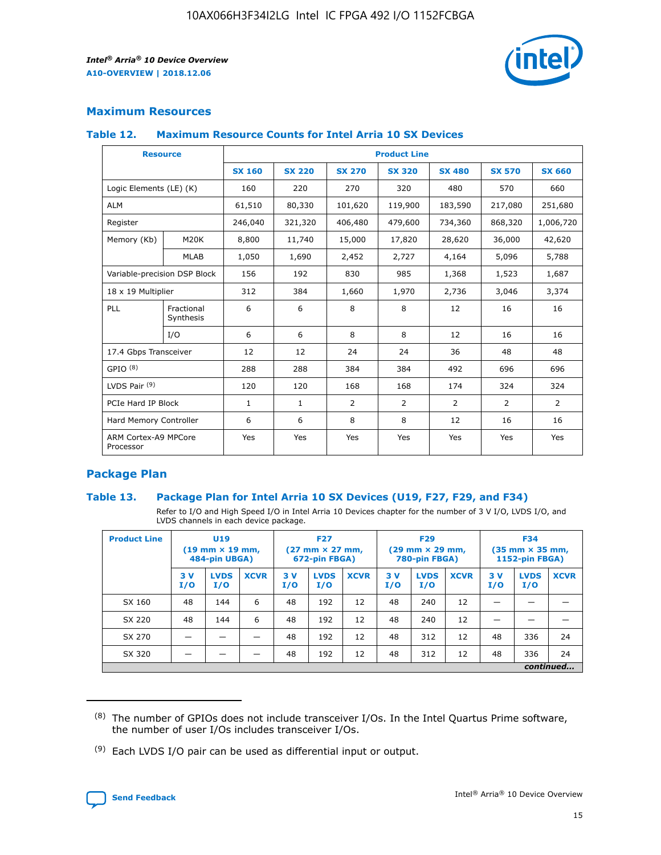

## **Maximum Resources**

#### **Table 12. Maximum Resource Counts for Intel Arria 10 SX Devices**

| <b>Resource</b>                   |                         | <b>Product Line</b> |               |                |                |                |                |                |  |  |  |
|-----------------------------------|-------------------------|---------------------|---------------|----------------|----------------|----------------|----------------|----------------|--|--|--|
|                                   |                         | <b>SX 160</b>       | <b>SX 220</b> | <b>SX 270</b>  | <b>SX 320</b>  | <b>SX 480</b>  | <b>SX 570</b>  | <b>SX 660</b>  |  |  |  |
| Logic Elements (LE) (K)           |                         | 160                 | 220           | 270            | 320            | 480            | 570            | 660            |  |  |  |
| <b>ALM</b>                        |                         | 61,510              | 80,330        | 101,620        | 119,900        | 183,590        | 217,080        | 251,680        |  |  |  |
| Register                          |                         | 246,040             | 321,320       | 406,480        | 479,600        | 734,360        | 868,320        | 1,006,720      |  |  |  |
| Memory (Kb)                       | M <sub>20</sub> K       | 8,800               | 11,740        | 15,000         | 17,820         | 28,620         | 36,000         | 42,620         |  |  |  |
|                                   | <b>MLAB</b>             | 1,050               | 1,690         | 2,452          | 2,727          | 4,164          | 5,096          | 5,788          |  |  |  |
| Variable-precision DSP Block      |                         | 156                 | 192           | 830            | 985            | 1,368          | 1,523          | 1,687          |  |  |  |
| 18 x 19 Multiplier                |                         | 312                 | 384           | 1,660          | 1,970          | 2,736          | 3,046          | 3,374          |  |  |  |
| PLL                               | Fractional<br>Synthesis | 6                   | 6             | 8              | 8              | 12             | 16             | 16             |  |  |  |
|                                   | I/O                     | 6                   | 6             | 8              | 8              | 12             | 16             | 16             |  |  |  |
| 17.4 Gbps Transceiver             |                         | 12                  | 12            | 24             | 24             | 36             | 48             | 48             |  |  |  |
| GPIO <sup>(8)</sup>               |                         | 288                 | 288           | 384            | 384            | 492            | 696            | 696            |  |  |  |
| LVDS Pair $(9)$                   |                         | 120                 | 120           | 168            | 168            | 174            | 324            | 324            |  |  |  |
| PCIe Hard IP Block                |                         | $\mathbf{1}$        | $\mathbf{1}$  | $\overline{2}$ | $\overline{2}$ | $\overline{2}$ | $\overline{2}$ | $\overline{2}$ |  |  |  |
| Hard Memory Controller            |                         | 6                   | 6             | 8              | 8              | 12             | 16             | 16             |  |  |  |
| ARM Cortex-A9 MPCore<br>Processor |                         | Yes                 | Yes           | Yes            | Yes            | Yes            | Yes            | <b>Yes</b>     |  |  |  |

## **Package Plan**

#### **Table 13. Package Plan for Intel Arria 10 SX Devices (U19, F27, F29, and F34)**

Refer to I/O and High Speed I/O in Intel Arria 10 Devices chapter for the number of 3 V I/O, LVDS I/O, and LVDS channels in each device package.

| <b>Product Line</b> | <b>U19</b><br>$(19 \text{ mm} \times 19 \text{ mm})$<br>484-pin UBGA) |                    | <b>F27</b><br>$(27 \text{ mm} \times 27 \text{ mm})$<br>672-pin FBGA) |           | <b>F29</b><br>$(29 \text{ mm} \times 29 \text{ mm})$<br>780-pin FBGA) |             |           | <b>F34</b><br>$(35 \text{ mm} \times 35 \text{ mm})$<br><b>1152-pin FBGA)</b> |             |           |                    |             |
|---------------------|-----------------------------------------------------------------------|--------------------|-----------------------------------------------------------------------|-----------|-----------------------------------------------------------------------|-------------|-----------|-------------------------------------------------------------------------------|-------------|-----------|--------------------|-------------|
|                     | 3V<br>I/O                                                             | <b>LVDS</b><br>I/O | <b>XCVR</b>                                                           | 3V<br>I/O | <b>LVDS</b><br>I/O                                                    | <b>XCVR</b> | 3V<br>I/O | <b>LVDS</b><br>I/O                                                            | <b>XCVR</b> | 3V<br>I/O | <b>LVDS</b><br>I/O | <b>XCVR</b> |
| SX 160              | 48                                                                    | 144                | 6                                                                     | 48        | 192                                                                   | 12          | 48        | 240                                                                           | 12          |           |                    |             |
| SX 220              | 48                                                                    | 144                | 6                                                                     | 48        | 192                                                                   | 12          | 48        | 240                                                                           | 12          |           |                    |             |
| SX 270              |                                                                       |                    |                                                                       | 48        | 192                                                                   | 12          | 48        | 312                                                                           | 12          | 48        | 336                | 24          |
| SX 320              |                                                                       |                    |                                                                       | 48        | 192                                                                   | 12          | 48        | 312                                                                           | 12          | 48        | 336                | 24          |
| continued           |                                                                       |                    |                                                                       |           |                                                                       |             |           |                                                                               |             |           |                    |             |

 $(8)$  The number of GPIOs does not include transceiver I/Os. In the Intel Quartus Prime software, the number of user I/Os includes transceiver I/Os.

 $(9)$  Each LVDS I/O pair can be used as differential input or output.

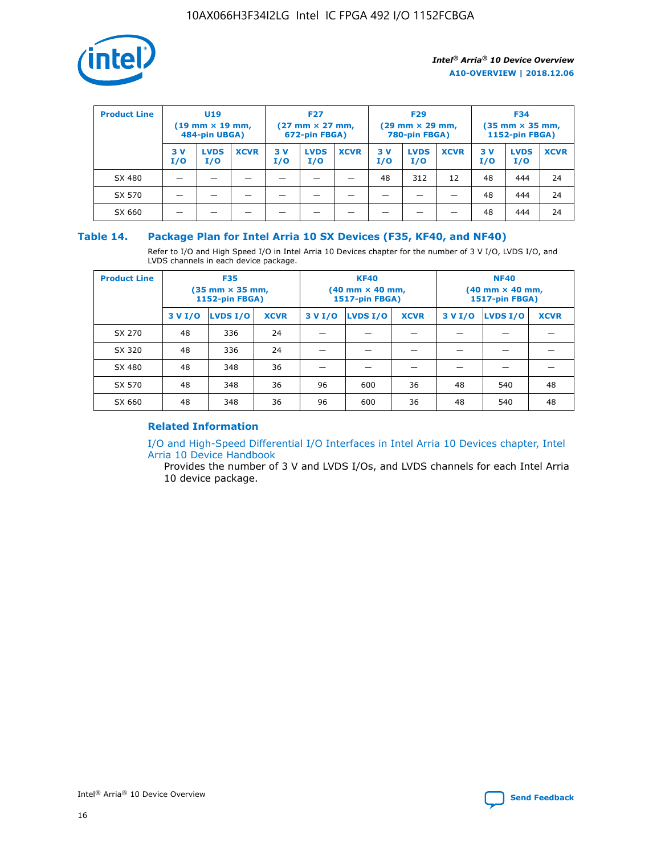

| <b>Product Line</b> | U <sub>19</sub><br>$(19 \text{ mm} \times 19 \text{ mm})$<br>484-pin UBGA) |                    | <b>F27</b><br>$(27 \text{ mm} \times 27 \text{ mm})$<br>672-pin FBGA) |            | <b>F29</b><br>$(29 \text{ mm} \times 29 \text{ mm})$<br>780-pin FBGA) |             |           | <b>F34</b><br>$(35 \text{ mm} \times 35 \text{ mm})$<br><b>1152-pin FBGA)</b> |             |           |                    |             |
|---------------------|----------------------------------------------------------------------------|--------------------|-----------------------------------------------------------------------|------------|-----------------------------------------------------------------------|-------------|-----------|-------------------------------------------------------------------------------|-------------|-----------|--------------------|-------------|
|                     | 3 V<br>I/O                                                                 | <b>LVDS</b><br>I/O | <b>XCVR</b>                                                           | 3 V<br>I/O | <b>LVDS</b><br>I/O                                                    | <b>XCVR</b> | 3V<br>I/O | <b>LVDS</b><br>I/O                                                            | <b>XCVR</b> | 3V<br>I/O | <b>LVDS</b><br>I/O | <b>XCVR</b> |
| SX 480              |                                                                            |                    |                                                                       |            |                                                                       |             | 48        | 312                                                                           | 12          | 48        | 444                | 24          |
| SX 570              |                                                                            |                    |                                                                       |            |                                                                       |             |           |                                                                               |             | 48        | 444                | 24          |
| SX 660              |                                                                            |                    |                                                                       |            |                                                                       |             |           |                                                                               |             | 48        | 444                | 24          |

## **Table 14. Package Plan for Intel Arria 10 SX Devices (F35, KF40, and NF40)**

Refer to I/O and High Speed I/O in Intel Arria 10 Devices chapter for the number of 3 V I/O, LVDS I/O, and LVDS channels in each device package.

| <b>Product Line</b> | <b>F35</b><br>$(35 \text{ mm} \times 35 \text{ mm})$<br><b>1152-pin FBGA)</b> |          |             |                                           | <b>KF40</b><br>(40 mm × 40 mm,<br>1517-pin FBGA) |    | <b>NF40</b><br>$(40 \text{ mm} \times 40 \text{ mm})$<br>1517-pin FBGA) |          |             |  |
|---------------------|-------------------------------------------------------------------------------|----------|-------------|-------------------------------------------|--------------------------------------------------|----|-------------------------------------------------------------------------|----------|-------------|--|
|                     | 3 V I/O                                                                       | LVDS I/O | <b>XCVR</b> | <b>LVDS I/O</b><br><b>XCVR</b><br>3 V I/O |                                                  |    | 3 V I/O                                                                 | LVDS I/O | <b>XCVR</b> |  |
| SX 270              | 48                                                                            | 336      | 24          |                                           |                                                  |    |                                                                         |          |             |  |
| SX 320              | 48                                                                            | 336      | 24          |                                           |                                                  |    |                                                                         |          |             |  |
| SX 480              | 48                                                                            | 348      | 36          |                                           |                                                  |    |                                                                         |          |             |  |
| SX 570              | 48                                                                            | 348      | 36          | 96                                        | 600                                              | 36 | 48                                                                      | 540      | 48          |  |
| SX 660              | 48                                                                            | 348      | 36          | 96                                        | 600                                              | 36 | 48                                                                      | 540      | 48          |  |

# **Related Information**

[I/O and High-Speed Differential I/O Interfaces in Intel Arria 10 Devices chapter, Intel](https://www.intel.com/content/www/us/en/programmable/documentation/sam1403482614086.html#sam1403482030321) [Arria 10 Device Handbook](https://www.intel.com/content/www/us/en/programmable/documentation/sam1403482614086.html#sam1403482030321)

Provides the number of 3 V and LVDS I/Os, and LVDS channels for each Intel Arria 10 device package.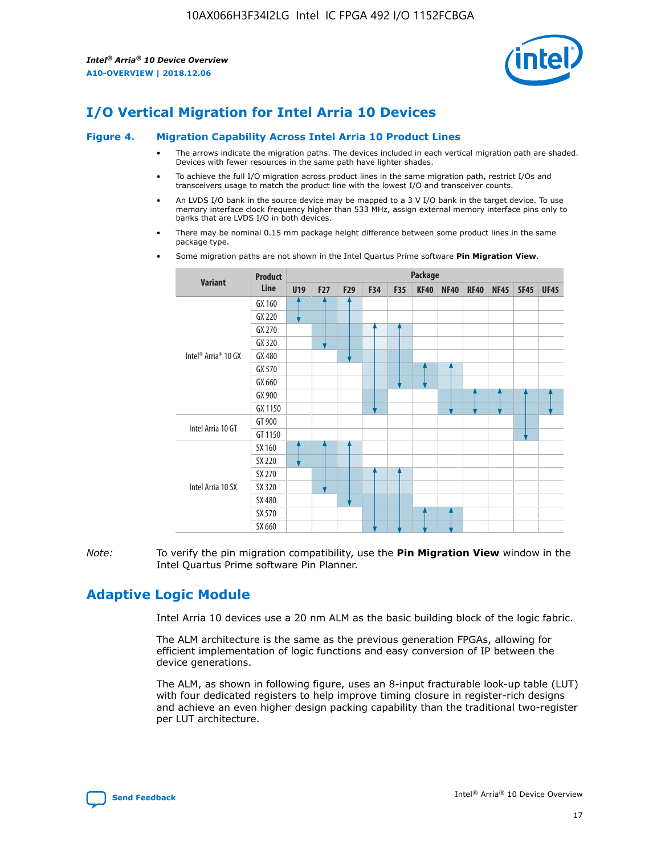

# **I/O Vertical Migration for Intel Arria 10 Devices**

#### **Figure 4. Migration Capability Across Intel Arria 10 Product Lines**

- The arrows indicate the migration paths. The devices included in each vertical migration path are shaded. Devices with fewer resources in the same path have lighter shades.
- To achieve the full I/O migration across product lines in the same migration path, restrict I/Os and transceivers usage to match the product line with the lowest I/O and transceiver counts.
- An LVDS I/O bank in the source device may be mapped to a 3 V I/O bank in the target device. To use memory interface clock frequency higher than 533 MHz, assign external memory interface pins only to banks that are LVDS I/O in both devices.
- There may be nominal 0.15 mm package height difference between some product lines in the same package type.
	- **Variant Product Line Package U19 F27 F29 F34 F35 KF40 NF40 RF40 NF45 SF45 UF45** Intel® Arria® 10 GX GX 160 GX 220 GX 270 GX 320 GX 480 GX 570 GX 660 GX 900 GX 1150 Intel Arria 10 GT GT 900 GT 1150 Intel Arria 10 SX SX 160 SX 220 SX 270 SX 320 SX 480 SX 570 SX 660
- Some migration paths are not shown in the Intel Quartus Prime software **Pin Migration View**.

*Note:* To verify the pin migration compatibility, use the **Pin Migration View** window in the Intel Quartus Prime software Pin Planner.

# **Adaptive Logic Module**

Intel Arria 10 devices use a 20 nm ALM as the basic building block of the logic fabric.

The ALM architecture is the same as the previous generation FPGAs, allowing for efficient implementation of logic functions and easy conversion of IP between the device generations.

The ALM, as shown in following figure, uses an 8-input fracturable look-up table (LUT) with four dedicated registers to help improve timing closure in register-rich designs and achieve an even higher design packing capability than the traditional two-register per LUT architecture.

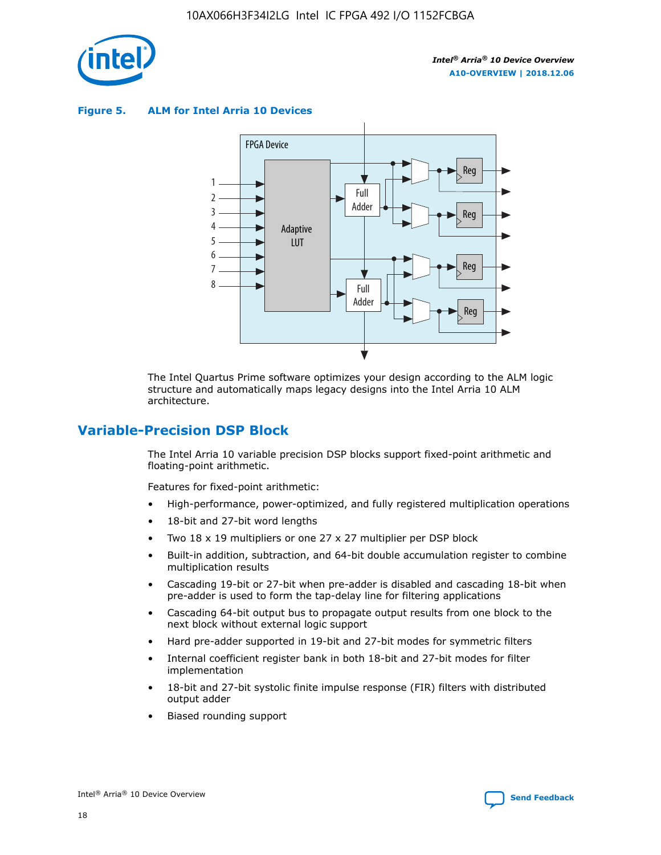

**Figure 5. ALM for Intel Arria 10 Devices**



The Intel Quartus Prime software optimizes your design according to the ALM logic structure and automatically maps legacy designs into the Intel Arria 10 ALM architecture.

# **Variable-Precision DSP Block**

The Intel Arria 10 variable precision DSP blocks support fixed-point arithmetic and floating-point arithmetic.

Features for fixed-point arithmetic:

- High-performance, power-optimized, and fully registered multiplication operations
- 18-bit and 27-bit word lengths
- Two 18 x 19 multipliers or one 27 x 27 multiplier per DSP block
- Built-in addition, subtraction, and 64-bit double accumulation register to combine multiplication results
- Cascading 19-bit or 27-bit when pre-adder is disabled and cascading 18-bit when pre-adder is used to form the tap-delay line for filtering applications
- Cascading 64-bit output bus to propagate output results from one block to the next block without external logic support
- Hard pre-adder supported in 19-bit and 27-bit modes for symmetric filters
- Internal coefficient register bank in both 18-bit and 27-bit modes for filter implementation
- 18-bit and 27-bit systolic finite impulse response (FIR) filters with distributed output adder
- Biased rounding support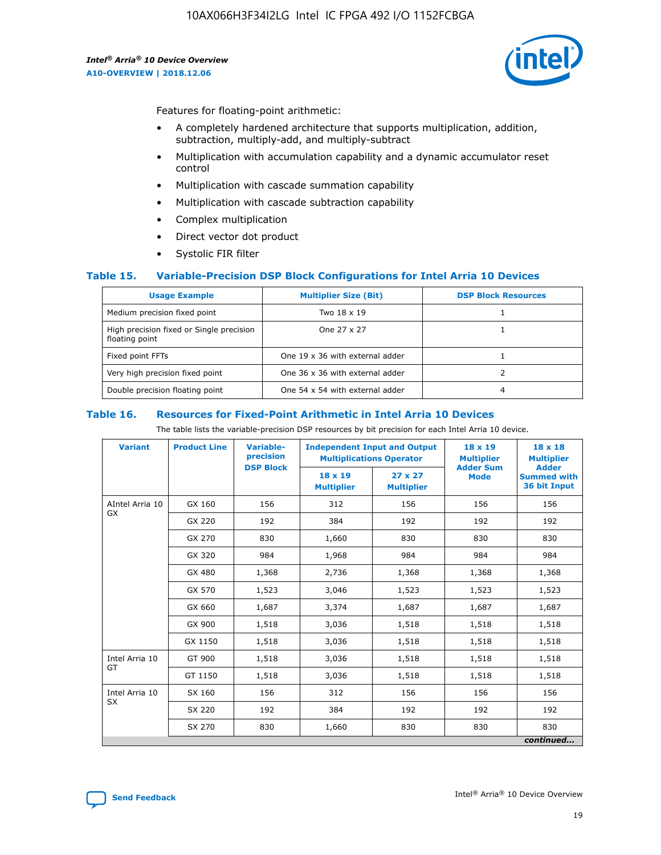

Features for floating-point arithmetic:

- A completely hardened architecture that supports multiplication, addition, subtraction, multiply-add, and multiply-subtract
- Multiplication with accumulation capability and a dynamic accumulator reset control
- Multiplication with cascade summation capability
- Multiplication with cascade subtraction capability
- Complex multiplication
- Direct vector dot product
- Systolic FIR filter

#### **Table 15. Variable-Precision DSP Block Configurations for Intel Arria 10 Devices**

| <b>Usage Example</b>                                       | <b>Multiplier Size (Bit)</b>    | <b>DSP Block Resources</b> |
|------------------------------------------------------------|---------------------------------|----------------------------|
| Medium precision fixed point                               | Two 18 x 19                     |                            |
| High precision fixed or Single precision<br>floating point | One 27 x 27                     |                            |
| Fixed point FFTs                                           | One 19 x 36 with external adder |                            |
| Very high precision fixed point                            | One 36 x 36 with external adder |                            |
| Double precision floating point                            | One 54 x 54 with external adder | 4                          |

#### **Table 16. Resources for Fixed-Point Arithmetic in Intel Arria 10 Devices**

The table lists the variable-precision DSP resources by bit precision for each Intel Arria 10 device.

| <b>Variant</b>  | <b>Product Line</b> | <b>Variable-</b><br>precision<br><b>DSP Block</b> | <b>Independent Input and Output</b><br><b>Multiplications Operator</b> |                                     | 18 x 19<br><b>Multiplier</b><br><b>Adder Sum</b> | $18 \times 18$<br><b>Multiplier</b><br><b>Adder</b> |
|-----------------|---------------------|---------------------------------------------------|------------------------------------------------------------------------|-------------------------------------|--------------------------------------------------|-----------------------------------------------------|
|                 |                     |                                                   | 18 x 19<br><b>Multiplier</b>                                           | $27 \times 27$<br><b>Multiplier</b> | <b>Mode</b>                                      | <b>Summed with</b><br>36 bit Input                  |
| AIntel Arria 10 | GX 160              | 156                                               | 312                                                                    | 156                                 | 156                                              | 156                                                 |
| GX              | GX 220              | 192                                               | 384                                                                    | 192                                 | 192                                              | 192                                                 |
|                 | GX 270              | 830                                               | 1,660                                                                  | 830                                 | 830                                              | 830                                                 |
|                 | GX 320              | 984                                               | 1,968                                                                  | 984                                 | 984                                              | 984                                                 |
|                 | GX 480              | 1,368                                             | 2,736                                                                  | 1,368                               | 1,368                                            | 1,368                                               |
|                 | GX 570              | 1,523                                             | 3,046                                                                  | 1,523                               | 1,523                                            | 1,523                                               |
|                 | GX 660              | 1,687                                             | 3,374                                                                  | 1,687                               | 1,687                                            | 1,687                                               |
|                 | GX 900              | 1,518                                             | 3,036                                                                  | 1,518                               | 1,518                                            | 1,518                                               |
|                 | GX 1150             | 1,518                                             | 3,036                                                                  | 1,518                               | 1,518                                            | 1,518                                               |
| Intel Arria 10  | GT 900              | 1,518                                             | 3,036                                                                  | 1,518                               | 1,518                                            | 1,518                                               |
| GT              | GT 1150             | 1,518                                             | 3,036                                                                  | 1,518                               | 1,518                                            | 1,518                                               |
| Intel Arria 10  | SX 160              | 156                                               | 312                                                                    | 156                                 | 156                                              | 156                                                 |
| <b>SX</b>       | SX 220              | 192                                               | 384                                                                    | 192                                 | 192                                              | 192                                                 |
|                 | SX 270              | 830                                               | 1,660                                                                  | 830                                 | 830                                              | 830                                                 |
|                 |                     |                                                   |                                                                        |                                     |                                                  | continued                                           |

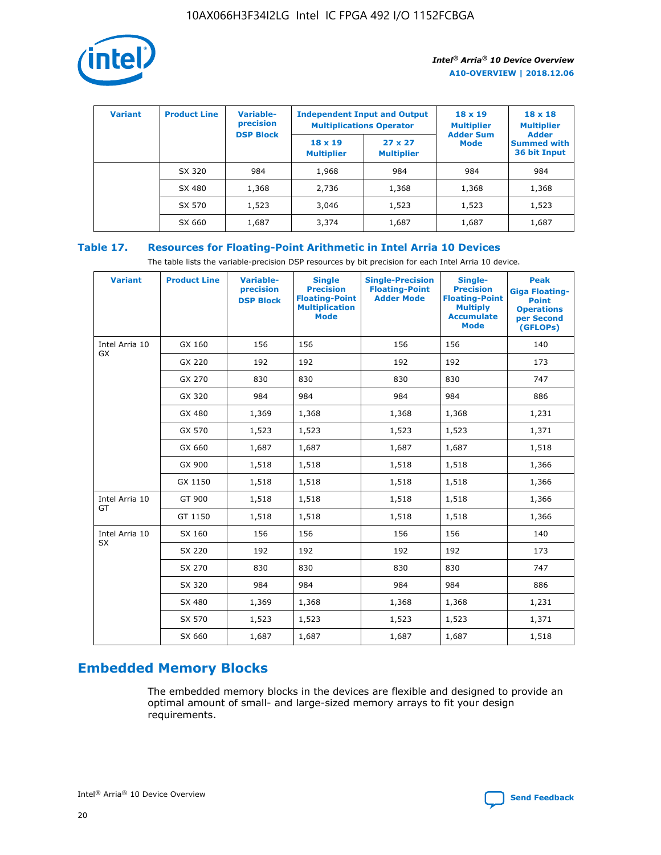

| <b>Variant</b> | <b>Product Line</b> | <b>Variable-</b><br>precision<br><b>DSP Block</b> | <b>Independent Input and Output</b><br><b>Multiplications Operator</b> |                                     | $18 \times 19$<br><b>Multiplier</b><br><b>Adder Sum</b> | $18 \times 18$<br><b>Multiplier</b><br><b>Adder</b> |  |
|----------------|---------------------|---------------------------------------------------|------------------------------------------------------------------------|-------------------------------------|---------------------------------------------------------|-----------------------------------------------------|--|
|                |                     |                                                   | $18 \times 19$<br><b>Multiplier</b>                                    | $27 \times 27$<br><b>Multiplier</b> | <b>Mode</b>                                             | <b>Summed with</b><br>36 bit Input                  |  |
|                | SX 320              | 984                                               | 1,968                                                                  | 984                                 | 984                                                     | 984                                                 |  |
|                | SX 480              | 1,368                                             | 2,736                                                                  | 1,368                               | 1,368                                                   | 1,368                                               |  |
|                | SX 570              | 1,523                                             | 3,046                                                                  | 1,523                               | 1,523                                                   | 1,523                                               |  |
|                | SX 660              | 1,687                                             | 3,374                                                                  | 1,687                               | 1,687                                                   | 1,687                                               |  |

# **Table 17. Resources for Floating-Point Arithmetic in Intel Arria 10 Devices**

The table lists the variable-precision DSP resources by bit precision for each Intel Arria 10 device.

| <b>Variant</b> | <b>Product Line</b> | <b>Variable-</b><br>precision<br><b>DSP Block</b> | <b>Single</b><br><b>Precision</b><br><b>Floating-Point</b><br><b>Multiplication</b><br><b>Mode</b> | <b>Single-Precision</b><br><b>Floating-Point</b><br><b>Adder Mode</b> | Single-<br><b>Precision</b><br><b>Floating-Point</b><br><b>Multiply</b><br><b>Accumulate</b><br><b>Mode</b> | <b>Peak</b><br><b>Giga Floating-</b><br><b>Point</b><br><b>Operations</b><br>per Second<br>(GFLOPs) |
|----------------|---------------------|---------------------------------------------------|----------------------------------------------------------------------------------------------------|-----------------------------------------------------------------------|-------------------------------------------------------------------------------------------------------------|-----------------------------------------------------------------------------------------------------|
| Intel Arria 10 | GX 160              | 156                                               | 156                                                                                                | 156                                                                   | 156                                                                                                         | 140                                                                                                 |
| <b>GX</b>      | GX 220              | 192                                               | 192                                                                                                | 192                                                                   | 192                                                                                                         | 173                                                                                                 |
|                | GX 270              | 830                                               | 830                                                                                                | 830                                                                   | 830                                                                                                         | 747                                                                                                 |
|                | GX 320              | 984                                               | 984                                                                                                | 984                                                                   | 984                                                                                                         | 886                                                                                                 |
|                | GX 480              | 1,369                                             | 1,368                                                                                              | 1,368                                                                 | 1,368                                                                                                       | 1,231                                                                                               |
|                | GX 570              | 1,523                                             | 1,523                                                                                              | 1,523                                                                 | 1,523                                                                                                       | 1,371                                                                                               |
|                | GX 660              | 1,687                                             | 1,687                                                                                              | 1,687                                                                 | 1,687                                                                                                       | 1,518                                                                                               |
|                | GX 900              | 1,518                                             | 1,518                                                                                              | 1,518                                                                 | 1,518                                                                                                       | 1,366                                                                                               |
|                | GX 1150             | 1,518                                             | 1,518                                                                                              | 1,518                                                                 | 1,518                                                                                                       | 1,366                                                                                               |
| Intel Arria 10 | GT 900              | 1,518                                             | 1,518                                                                                              | 1,518                                                                 | 1,518                                                                                                       | 1,366                                                                                               |
| GT             | GT 1150             | 1,518                                             | 1,518                                                                                              | 1,518                                                                 | 1,518                                                                                                       | 1,366                                                                                               |
| Intel Arria 10 | SX 160              | 156                                               | 156                                                                                                | 156                                                                   | 156                                                                                                         | 140                                                                                                 |
| SX             | SX 220              | 192                                               | 192                                                                                                | 192                                                                   | 192                                                                                                         | 173                                                                                                 |
|                | SX 270              | 830                                               | 830                                                                                                | 830                                                                   | 830                                                                                                         | 747                                                                                                 |
|                | SX 320              | 984                                               | 984                                                                                                | 984                                                                   | 984                                                                                                         | 886                                                                                                 |
|                | SX 480              | 1,369                                             | 1,368                                                                                              | 1,368                                                                 | 1,368                                                                                                       | 1,231                                                                                               |
|                | SX 570              | 1,523                                             | 1,523                                                                                              | 1,523                                                                 | 1,523                                                                                                       | 1,371                                                                                               |
|                | SX 660              | 1,687                                             | 1,687                                                                                              | 1,687                                                                 | 1,687                                                                                                       | 1,518                                                                                               |

# **Embedded Memory Blocks**

The embedded memory blocks in the devices are flexible and designed to provide an optimal amount of small- and large-sized memory arrays to fit your design requirements.

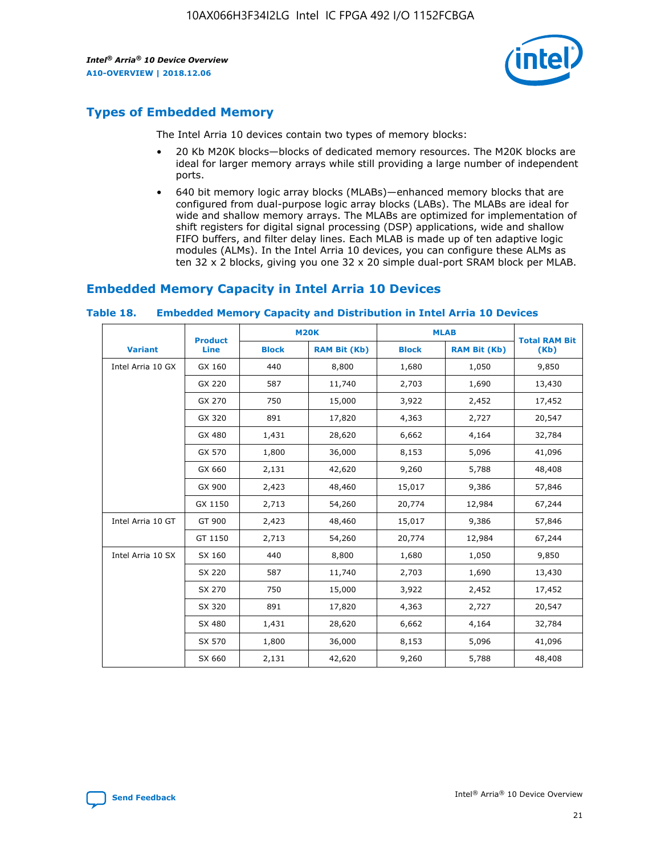

# **Types of Embedded Memory**

The Intel Arria 10 devices contain two types of memory blocks:

- 20 Kb M20K blocks—blocks of dedicated memory resources. The M20K blocks are ideal for larger memory arrays while still providing a large number of independent ports.
- 640 bit memory logic array blocks (MLABs)—enhanced memory blocks that are configured from dual-purpose logic array blocks (LABs). The MLABs are ideal for wide and shallow memory arrays. The MLABs are optimized for implementation of shift registers for digital signal processing (DSP) applications, wide and shallow FIFO buffers, and filter delay lines. Each MLAB is made up of ten adaptive logic modules (ALMs). In the Intel Arria 10 devices, you can configure these ALMs as ten 32 x 2 blocks, giving you one 32 x 20 simple dual-port SRAM block per MLAB.

# **Embedded Memory Capacity in Intel Arria 10 Devices**

|                   | <b>Product</b> |              | <b>M20K</b>         | <b>MLAB</b>  |                     | <b>Total RAM Bit</b> |
|-------------------|----------------|--------------|---------------------|--------------|---------------------|----------------------|
| <b>Variant</b>    | Line           | <b>Block</b> | <b>RAM Bit (Kb)</b> | <b>Block</b> | <b>RAM Bit (Kb)</b> | (Kb)                 |
| Intel Arria 10 GX | GX 160         | 440          | 8,800               | 1,680        | 1,050               | 9,850                |
|                   | GX 220         | 587          | 11,740              | 2,703        | 1,690               | 13,430               |
|                   | GX 270         | 750          | 15,000              | 3,922        | 2,452               | 17,452               |
|                   | GX 320         | 891          | 17,820              | 4,363        | 2,727               | 20,547               |
|                   | GX 480         | 1,431        | 28,620              | 6,662        | 4,164               | 32,784               |
|                   | GX 570         | 1,800        | 36,000              | 8,153        | 5,096               | 41,096               |
|                   | GX 660         | 2,131        | 42,620              | 9,260        | 5,788               | 48,408               |
|                   | GX 900         | 2,423        | 48,460              | 15,017       | 9,386               | 57,846               |
|                   | GX 1150        | 2,713        | 54,260              | 20,774       | 12,984              | 67,244               |
| Intel Arria 10 GT | GT 900         | 2,423        | 48,460              | 15,017       | 9,386               | 57,846               |
|                   | GT 1150        | 2,713        | 54,260              | 20,774       | 12,984              | 67,244               |
| Intel Arria 10 SX | SX 160         | 440          | 8,800               | 1,680        | 1,050               | 9,850                |
|                   | SX 220         | 587          | 11,740              | 2,703        | 1,690               | 13,430               |
|                   | SX 270         | 750          | 15,000              | 3,922        | 2,452               | 17,452               |
|                   | SX 320         | 891          | 17,820              | 4,363        | 2,727               | 20,547               |
|                   | SX 480         | 1,431        | 28,620              | 6,662        | 4,164               | 32,784               |
|                   | SX 570         | 1,800        | 36,000              | 8,153        | 5,096               | 41,096               |
|                   | SX 660         | 2,131        | 42,620              | 9,260        | 5,788               | 48,408               |

#### **Table 18. Embedded Memory Capacity and Distribution in Intel Arria 10 Devices**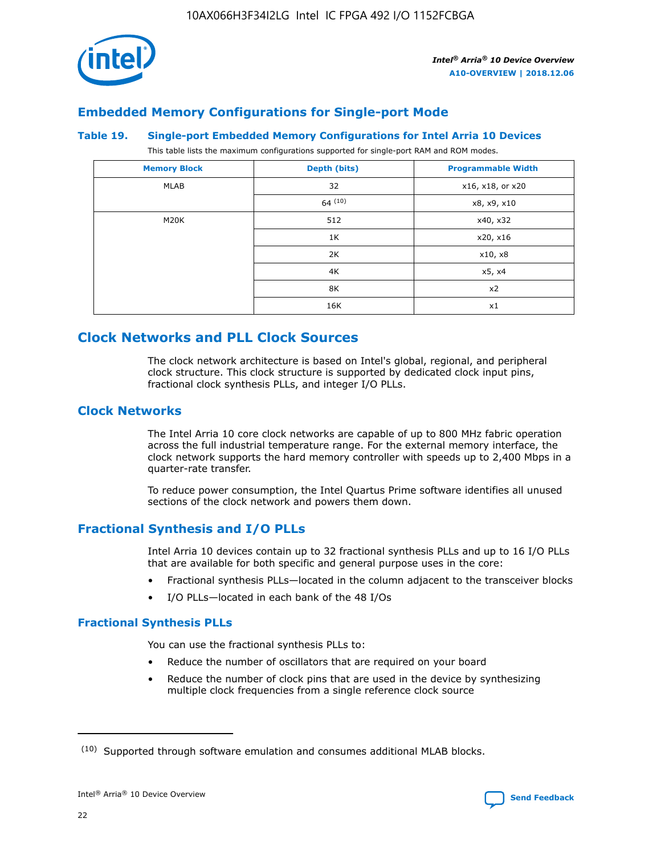

# **Embedded Memory Configurations for Single-port Mode**

#### **Table 19. Single-port Embedded Memory Configurations for Intel Arria 10 Devices**

This table lists the maximum configurations supported for single-port RAM and ROM modes.

| <b>Memory Block</b> | Depth (bits) | <b>Programmable Width</b> |
|---------------------|--------------|---------------------------|
| MLAB                | 32           | x16, x18, or x20          |
|                     | 64(10)       | x8, x9, x10               |
| M20K                | 512          | x40, x32                  |
|                     | 1K           | x20, x16                  |
|                     | 2K           | x10, x8                   |
|                     | 4K           | x5, x4                    |
|                     | 8K           | x2                        |
|                     | 16K          | x1                        |

# **Clock Networks and PLL Clock Sources**

The clock network architecture is based on Intel's global, regional, and peripheral clock structure. This clock structure is supported by dedicated clock input pins, fractional clock synthesis PLLs, and integer I/O PLLs.

# **Clock Networks**

The Intel Arria 10 core clock networks are capable of up to 800 MHz fabric operation across the full industrial temperature range. For the external memory interface, the clock network supports the hard memory controller with speeds up to 2,400 Mbps in a quarter-rate transfer.

To reduce power consumption, the Intel Quartus Prime software identifies all unused sections of the clock network and powers them down.

# **Fractional Synthesis and I/O PLLs**

Intel Arria 10 devices contain up to 32 fractional synthesis PLLs and up to 16 I/O PLLs that are available for both specific and general purpose uses in the core:

- Fractional synthesis PLLs—located in the column adjacent to the transceiver blocks
- I/O PLLs—located in each bank of the 48 I/Os

## **Fractional Synthesis PLLs**

You can use the fractional synthesis PLLs to:

- Reduce the number of oscillators that are required on your board
- Reduce the number of clock pins that are used in the device by synthesizing multiple clock frequencies from a single reference clock source

<sup>(10)</sup> Supported through software emulation and consumes additional MLAB blocks.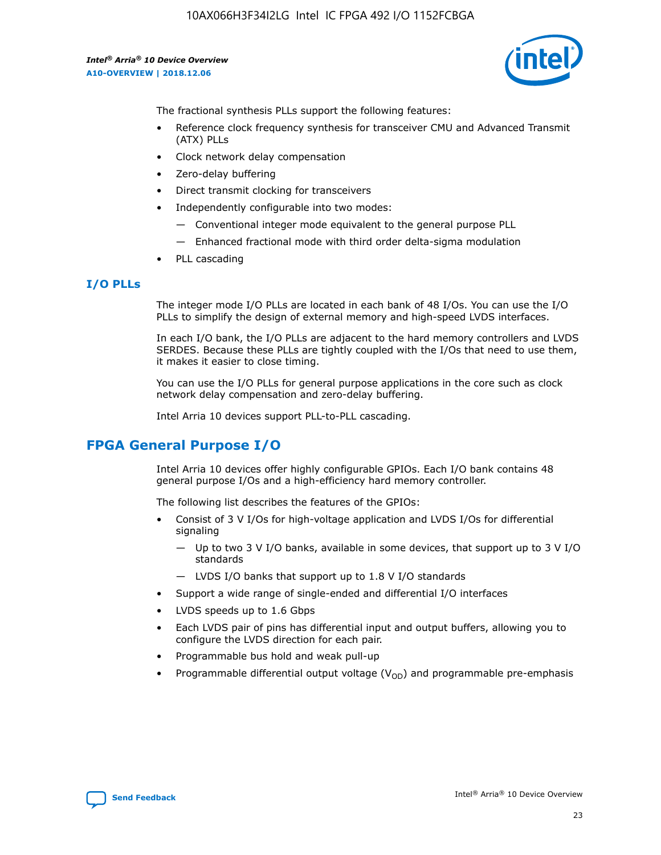

The fractional synthesis PLLs support the following features:

- Reference clock frequency synthesis for transceiver CMU and Advanced Transmit (ATX) PLLs
- Clock network delay compensation
- Zero-delay buffering
- Direct transmit clocking for transceivers
- Independently configurable into two modes:
	- Conventional integer mode equivalent to the general purpose PLL
	- Enhanced fractional mode with third order delta-sigma modulation
- PLL cascading

## **I/O PLLs**

The integer mode I/O PLLs are located in each bank of 48 I/Os. You can use the I/O PLLs to simplify the design of external memory and high-speed LVDS interfaces.

In each I/O bank, the I/O PLLs are adjacent to the hard memory controllers and LVDS SERDES. Because these PLLs are tightly coupled with the I/Os that need to use them, it makes it easier to close timing.

You can use the I/O PLLs for general purpose applications in the core such as clock network delay compensation and zero-delay buffering.

Intel Arria 10 devices support PLL-to-PLL cascading.

# **FPGA General Purpose I/O**

Intel Arria 10 devices offer highly configurable GPIOs. Each I/O bank contains 48 general purpose I/Os and a high-efficiency hard memory controller.

The following list describes the features of the GPIOs:

- Consist of 3 V I/Os for high-voltage application and LVDS I/Os for differential signaling
	- Up to two 3 V I/O banks, available in some devices, that support up to 3 V I/O standards
	- LVDS I/O banks that support up to 1.8 V I/O standards
- Support a wide range of single-ended and differential I/O interfaces
- LVDS speeds up to 1.6 Gbps
- Each LVDS pair of pins has differential input and output buffers, allowing you to configure the LVDS direction for each pair.
- Programmable bus hold and weak pull-up
- Programmable differential output voltage  $(V_{OD})$  and programmable pre-emphasis

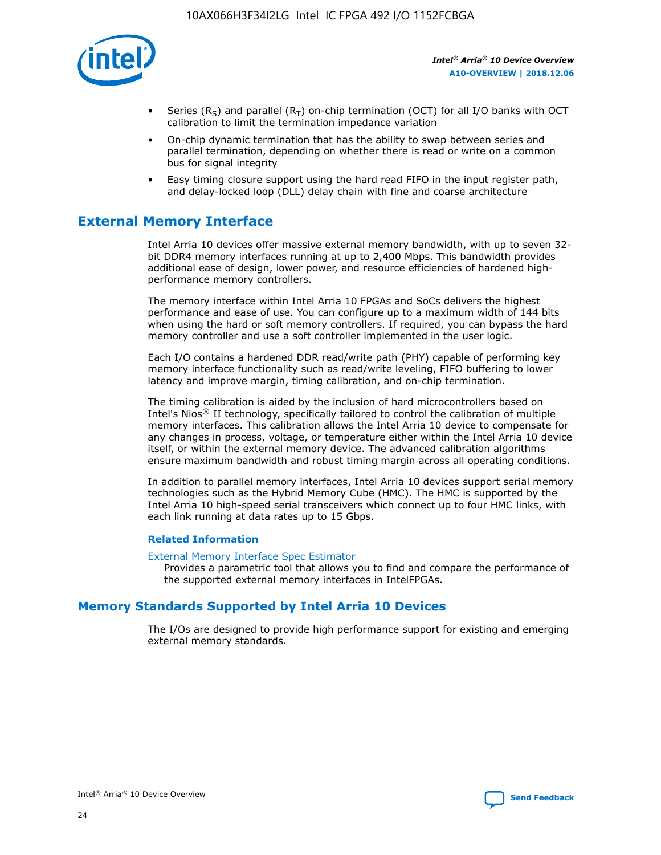

- Series (R<sub>S</sub>) and parallel (R<sub>T</sub>) on-chip termination (OCT) for all I/O banks with OCT calibration to limit the termination impedance variation
- On-chip dynamic termination that has the ability to swap between series and parallel termination, depending on whether there is read or write on a common bus for signal integrity
- Easy timing closure support using the hard read FIFO in the input register path, and delay-locked loop (DLL) delay chain with fine and coarse architecture

# **External Memory Interface**

Intel Arria 10 devices offer massive external memory bandwidth, with up to seven 32 bit DDR4 memory interfaces running at up to 2,400 Mbps. This bandwidth provides additional ease of design, lower power, and resource efficiencies of hardened highperformance memory controllers.

The memory interface within Intel Arria 10 FPGAs and SoCs delivers the highest performance and ease of use. You can configure up to a maximum width of 144 bits when using the hard or soft memory controllers. If required, you can bypass the hard memory controller and use a soft controller implemented in the user logic.

Each I/O contains a hardened DDR read/write path (PHY) capable of performing key memory interface functionality such as read/write leveling, FIFO buffering to lower latency and improve margin, timing calibration, and on-chip termination.

The timing calibration is aided by the inclusion of hard microcontrollers based on Intel's Nios® II technology, specifically tailored to control the calibration of multiple memory interfaces. This calibration allows the Intel Arria 10 device to compensate for any changes in process, voltage, or temperature either within the Intel Arria 10 device itself, or within the external memory device. The advanced calibration algorithms ensure maximum bandwidth and robust timing margin across all operating conditions.

In addition to parallel memory interfaces, Intel Arria 10 devices support serial memory technologies such as the Hybrid Memory Cube (HMC). The HMC is supported by the Intel Arria 10 high-speed serial transceivers which connect up to four HMC links, with each link running at data rates up to 15 Gbps.

#### **Related Information**

#### [External Memory Interface Spec Estimator](http://www.altera.com/technology/memory/estimator/mem-emif-index.html)

Provides a parametric tool that allows you to find and compare the performance of the supported external memory interfaces in IntelFPGAs.

# **Memory Standards Supported by Intel Arria 10 Devices**

The I/Os are designed to provide high performance support for existing and emerging external memory standards.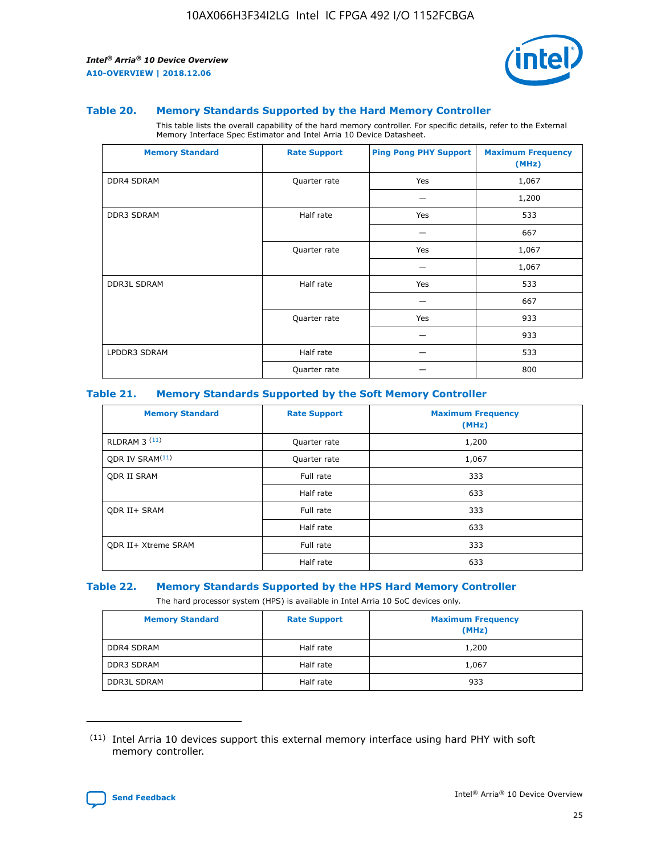

#### **Table 20. Memory Standards Supported by the Hard Memory Controller**

This table lists the overall capability of the hard memory controller. For specific details, refer to the External Memory Interface Spec Estimator and Intel Arria 10 Device Datasheet.

| <b>Memory Standard</b> | <b>Rate Support</b> | <b>Ping Pong PHY Support</b> | <b>Maximum Frequency</b><br>(MHz) |
|------------------------|---------------------|------------------------------|-----------------------------------|
| <b>DDR4 SDRAM</b>      | Quarter rate        | Yes                          | 1,067                             |
|                        |                     |                              | 1,200                             |
| DDR3 SDRAM             | Half rate           | Yes                          | 533                               |
|                        |                     |                              | 667                               |
|                        | Quarter rate        | Yes                          | 1,067                             |
|                        |                     |                              | 1,067                             |
| <b>DDR3L SDRAM</b>     | Half rate           | Yes                          | 533                               |
|                        |                     |                              | 667                               |
|                        | Quarter rate        | Yes                          | 933                               |
|                        |                     |                              | 933                               |
| LPDDR3 SDRAM           | Half rate           |                              | 533                               |
|                        | Quarter rate        |                              | 800                               |

#### **Table 21. Memory Standards Supported by the Soft Memory Controller**

| <b>Memory Standard</b>      | <b>Rate Support</b> | <b>Maximum Frequency</b><br>(MHz) |
|-----------------------------|---------------------|-----------------------------------|
| <b>RLDRAM 3 (11)</b>        | Quarter rate        | 1,200                             |
| ODR IV SRAM <sup>(11)</sup> | Quarter rate        | 1,067                             |
| <b>ODR II SRAM</b>          | Full rate           | 333                               |
|                             | Half rate           | 633                               |
| <b>ODR II+ SRAM</b>         | Full rate           | 333                               |
|                             | Half rate           | 633                               |
| <b>ODR II+ Xtreme SRAM</b>  | Full rate           | 333                               |
|                             | Half rate           | 633                               |

#### **Table 22. Memory Standards Supported by the HPS Hard Memory Controller**

The hard processor system (HPS) is available in Intel Arria 10 SoC devices only.

| <b>Memory Standard</b> | <b>Rate Support</b> | <b>Maximum Frequency</b><br>(MHz) |
|------------------------|---------------------|-----------------------------------|
| <b>DDR4 SDRAM</b>      | Half rate           | 1,200                             |
| <b>DDR3 SDRAM</b>      | Half rate           | 1,067                             |
| <b>DDR3L SDRAM</b>     | Half rate           | 933                               |

<sup>(11)</sup> Intel Arria 10 devices support this external memory interface using hard PHY with soft memory controller.

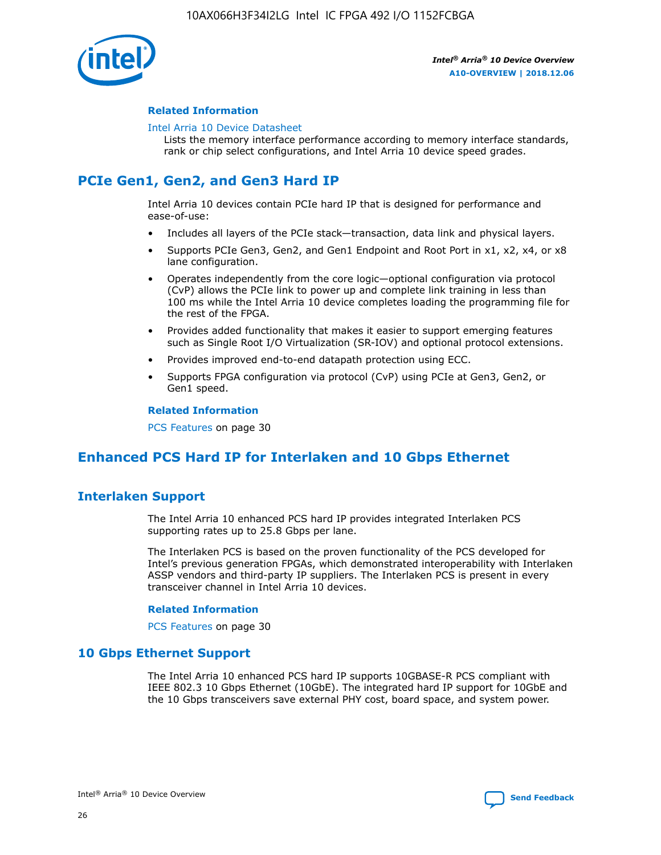

#### **Related Information**

#### [Intel Arria 10 Device Datasheet](https://www.intel.com/content/www/us/en/programmable/documentation/mcn1413182292568.html#mcn1413182153340)

Lists the memory interface performance according to memory interface standards, rank or chip select configurations, and Intel Arria 10 device speed grades.

# **PCIe Gen1, Gen2, and Gen3 Hard IP**

Intel Arria 10 devices contain PCIe hard IP that is designed for performance and ease-of-use:

- Includes all layers of the PCIe stack—transaction, data link and physical layers.
- Supports PCIe Gen3, Gen2, and Gen1 Endpoint and Root Port in x1, x2, x4, or x8 lane configuration.
- Operates independently from the core logic—optional configuration via protocol (CvP) allows the PCIe link to power up and complete link training in less than 100 ms while the Intel Arria 10 device completes loading the programming file for the rest of the FPGA.
- Provides added functionality that makes it easier to support emerging features such as Single Root I/O Virtualization (SR-IOV) and optional protocol extensions.
- Provides improved end-to-end datapath protection using ECC.
- Supports FPGA configuration via protocol (CvP) using PCIe at Gen3, Gen2, or Gen1 speed.

#### **Related Information**

PCS Features on page 30

# **Enhanced PCS Hard IP for Interlaken and 10 Gbps Ethernet**

# **Interlaken Support**

The Intel Arria 10 enhanced PCS hard IP provides integrated Interlaken PCS supporting rates up to 25.8 Gbps per lane.

The Interlaken PCS is based on the proven functionality of the PCS developed for Intel's previous generation FPGAs, which demonstrated interoperability with Interlaken ASSP vendors and third-party IP suppliers. The Interlaken PCS is present in every transceiver channel in Intel Arria 10 devices.

#### **Related Information**

PCS Features on page 30

## **10 Gbps Ethernet Support**

The Intel Arria 10 enhanced PCS hard IP supports 10GBASE-R PCS compliant with IEEE 802.3 10 Gbps Ethernet (10GbE). The integrated hard IP support for 10GbE and the 10 Gbps transceivers save external PHY cost, board space, and system power.

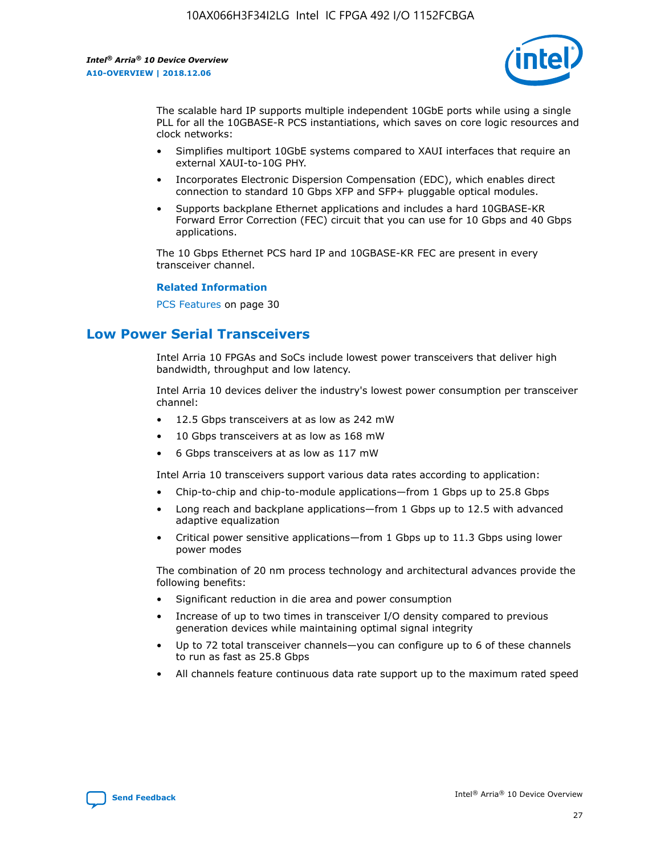

The scalable hard IP supports multiple independent 10GbE ports while using a single PLL for all the 10GBASE-R PCS instantiations, which saves on core logic resources and clock networks:

- Simplifies multiport 10GbE systems compared to XAUI interfaces that require an external XAUI-to-10G PHY.
- Incorporates Electronic Dispersion Compensation (EDC), which enables direct connection to standard 10 Gbps XFP and SFP+ pluggable optical modules.
- Supports backplane Ethernet applications and includes a hard 10GBASE-KR Forward Error Correction (FEC) circuit that you can use for 10 Gbps and 40 Gbps applications.

The 10 Gbps Ethernet PCS hard IP and 10GBASE-KR FEC are present in every transceiver channel.

#### **Related Information**

PCS Features on page 30

# **Low Power Serial Transceivers**

Intel Arria 10 FPGAs and SoCs include lowest power transceivers that deliver high bandwidth, throughput and low latency.

Intel Arria 10 devices deliver the industry's lowest power consumption per transceiver channel:

- 12.5 Gbps transceivers at as low as 242 mW
- 10 Gbps transceivers at as low as 168 mW
- 6 Gbps transceivers at as low as 117 mW

Intel Arria 10 transceivers support various data rates according to application:

- Chip-to-chip and chip-to-module applications—from 1 Gbps up to 25.8 Gbps
- Long reach and backplane applications—from 1 Gbps up to 12.5 with advanced adaptive equalization
- Critical power sensitive applications—from 1 Gbps up to 11.3 Gbps using lower power modes

The combination of 20 nm process technology and architectural advances provide the following benefits:

- Significant reduction in die area and power consumption
- Increase of up to two times in transceiver I/O density compared to previous generation devices while maintaining optimal signal integrity
- Up to 72 total transceiver channels—you can configure up to 6 of these channels to run as fast as 25.8 Gbps
- All channels feature continuous data rate support up to the maximum rated speed

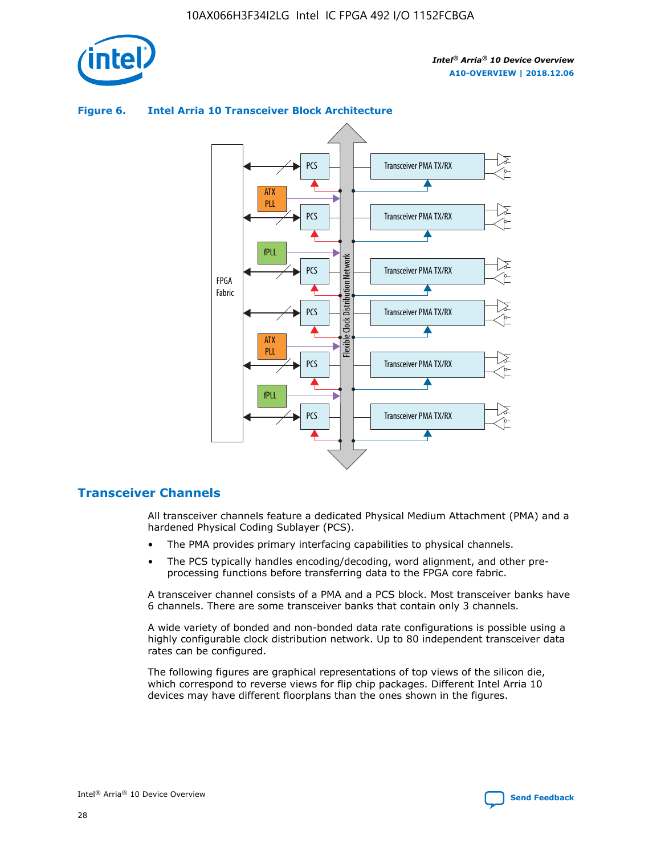



## **Figure 6. Intel Arria 10 Transceiver Block Architecture**

## **Transceiver Channels**

All transceiver channels feature a dedicated Physical Medium Attachment (PMA) and a hardened Physical Coding Sublayer (PCS).

- The PMA provides primary interfacing capabilities to physical channels.
- The PCS typically handles encoding/decoding, word alignment, and other preprocessing functions before transferring data to the FPGA core fabric.

A transceiver channel consists of a PMA and a PCS block. Most transceiver banks have 6 channels. There are some transceiver banks that contain only 3 channels.

A wide variety of bonded and non-bonded data rate configurations is possible using a highly configurable clock distribution network. Up to 80 independent transceiver data rates can be configured.

The following figures are graphical representations of top views of the silicon die, which correspond to reverse views for flip chip packages. Different Intel Arria 10 devices may have different floorplans than the ones shown in the figures.

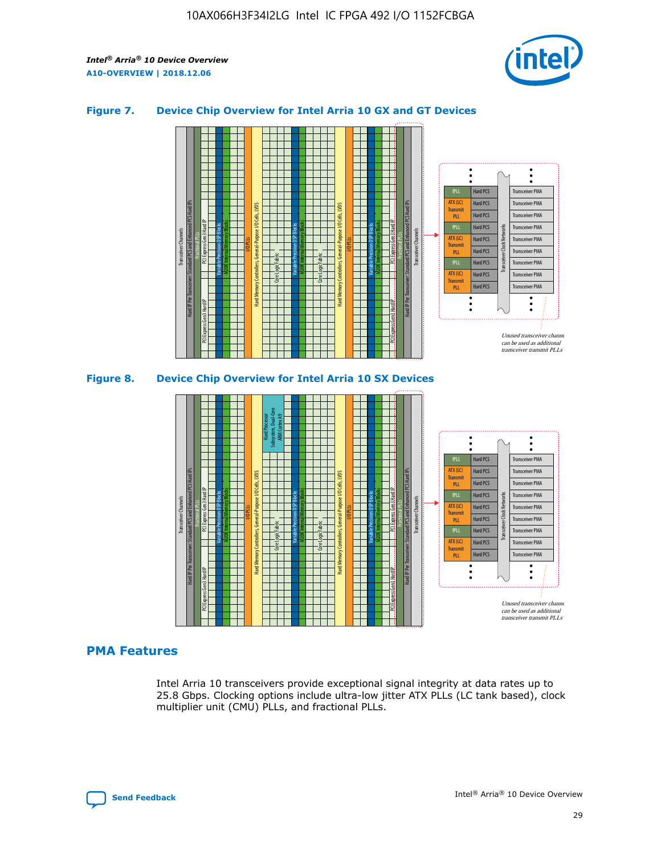

## **Figure 7. Device Chip Overview for Intel Arria 10 GX and GT Devices**





## **PMA Features**

Intel Arria 10 transceivers provide exceptional signal integrity at data rates up to 25.8 Gbps. Clocking options include ultra-low jitter ATX PLLs (LC tank based), clock multiplier unit (CMU) PLLs, and fractional PLLs.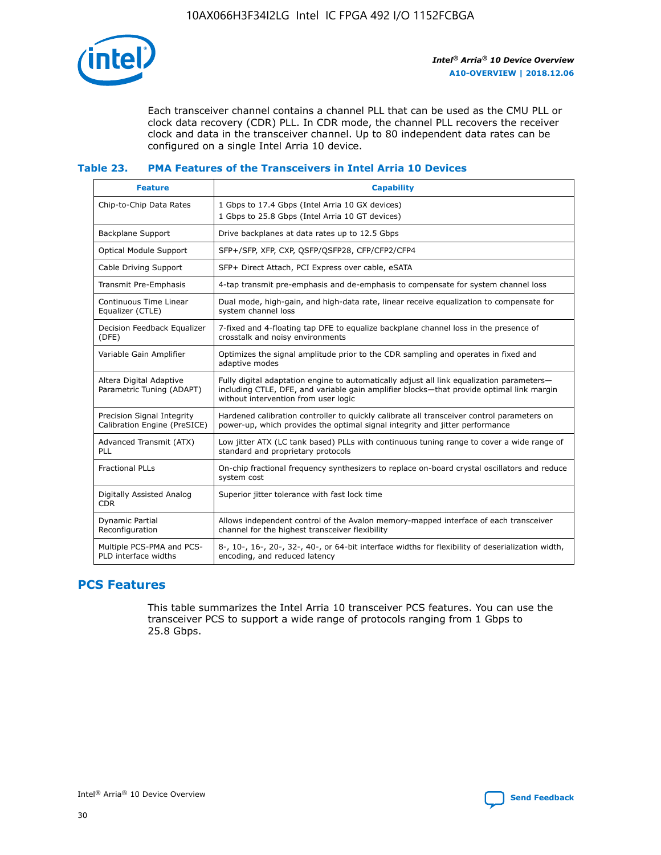

Each transceiver channel contains a channel PLL that can be used as the CMU PLL or clock data recovery (CDR) PLL. In CDR mode, the channel PLL recovers the receiver clock and data in the transceiver channel. Up to 80 independent data rates can be configured on a single Intel Arria 10 device.

## **Table 23. PMA Features of the Transceivers in Intel Arria 10 Devices**

| <b>Feature</b>                                             | <b>Capability</b>                                                                                                                                                                                                             |
|------------------------------------------------------------|-------------------------------------------------------------------------------------------------------------------------------------------------------------------------------------------------------------------------------|
| Chip-to-Chip Data Rates                                    | 1 Gbps to 17.4 Gbps (Intel Arria 10 GX devices)<br>1 Gbps to 25.8 Gbps (Intel Arria 10 GT devices)                                                                                                                            |
| <b>Backplane Support</b>                                   | Drive backplanes at data rates up to 12.5 Gbps                                                                                                                                                                                |
| <b>Optical Module Support</b>                              | SFP+/SFP, XFP, CXP, QSFP/QSFP28, CFP/CFP2/CFP4                                                                                                                                                                                |
| Cable Driving Support                                      | SFP+ Direct Attach, PCI Express over cable, eSATA                                                                                                                                                                             |
| Transmit Pre-Emphasis                                      | 4-tap transmit pre-emphasis and de-emphasis to compensate for system channel loss                                                                                                                                             |
| Continuous Time Linear<br>Equalizer (CTLE)                 | Dual mode, high-gain, and high-data rate, linear receive equalization to compensate for<br>system channel loss                                                                                                                |
| Decision Feedback Equalizer<br>(DFE)                       | 7-fixed and 4-floating tap DFE to equalize backplane channel loss in the presence of<br>crosstalk and noisy environments                                                                                                      |
| Variable Gain Amplifier                                    | Optimizes the signal amplitude prior to the CDR sampling and operates in fixed and<br>adaptive modes                                                                                                                          |
| Altera Digital Adaptive<br>Parametric Tuning (ADAPT)       | Fully digital adaptation engine to automatically adjust all link equalization parameters-<br>including CTLE, DFE, and variable gain amplifier blocks—that provide optimal link margin<br>without intervention from user logic |
| Precision Signal Integrity<br>Calibration Engine (PreSICE) | Hardened calibration controller to quickly calibrate all transceiver control parameters on<br>power-up, which provides the optimal signal integrity and jitter performance                                                    |
| Advanced Transmit (ATX)<br><b>PLL</b>                      | Low jitter ATX (LC tank based) PLLs with continuous tuning range to cover a wide range of<br>standard and proprietary protocols                                                                                               |
| <b>Fractional PLLs</b>                                     | On-chip fractional frequency synthesizers to replace on-board crystal oscillators and reduce<br>system cost                                                                                                                   |
| Digitally Assisted Analog<br><b>CDR</b>                    | Superior jitter tolerance with fast lock time                                                                                                                                                                                 |
| Dynamic Partial<br>Reconfiguration                         | Allows independent control of the Avalon memory-mapped interface of each transceiver<br>channel for the highest transceiver flexibility                                                                                       |
| Multiple PCS-PMA and PCS-<br>PLD interface widths          | 8-, 10-, 16-, 20-, 32-, 40-, or 64-bit interface widths for flexibility of deserialization width,<br>encoding, and reduced latency                                                                                            |

# **PCS Features**

This table summarizes the Intel Arria 10 transceiver PCS features. You can use the transceiver PCS to support a wide range of protocols ranging from 1 Gbps to 25.8 Gbps.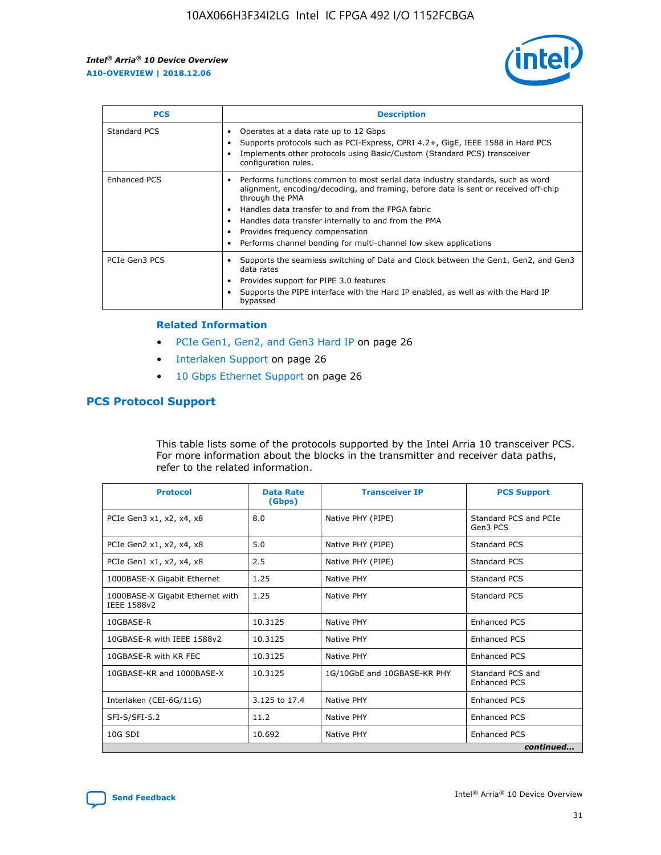

| <b>PCS</b>    | <b>Description</b>                                                                                                                                                                                                                                                                                                                                                                                             |
|---------------|----------------------------------------------------------------------------------------------------------------------------------------------------------------------------------------------------------------------------------------------------------------------------------------------------------------------------------------------------------------------------------------------------------------|
| Standard PCS  | Operates at a data rate up to 12 Gbps<br>Supports protocols such as PCI-Express, CPRI 4.2+, GigE, IEEE 1588 in Hard PCS<br>Implements other protocols using Basic/Custom (Standard PCS) transceiver<br>configuration rules.                                                                                                                                                                                    |
| Enhanced PCS  | Performs functions common to most serial data industry standards, such as word<br>alignment, encoding/decoding, and framing, before data is sent or received off-chip<br>through the PMA<br>• Handles data transfer to and from the FPGA fabric<br>Handles data transfer internally to and from the PMA<br>Provides frequency compensation<br>Performs channel bonding for multi-channel low skew applications |
| PCIe Gen3 PCS | Supports the seamless switching of Data and Clock between the Gen1, Gen2, and Gen3<br>data rates<br>Provides support for PIPE 3.0 features<br>Supports the PIPE interface with the Hard IP enabled, as well as with the Hard IP<br>bypassed                                                                                                                                                                    |

#### **Related Information**

- PCIe Gen1, Gen2, and Gen3 Hard IP on page 26
- Interlaken Support on page 26
- 10 Gbps Ethernet Support on page 26

# **PCS Protocol Support**

This table lists some of the protocols supported by the Intel Arria 10 transceiver PCS. For more information about the blocks in the transmitter and receiver data paths, refer to the related information.

| <b>Protocol</b>                                 | <b>Data Rate</b><br>(Gbps) | <b>Transceiver IP</b>       | <b>PCS Support</b>                      |
|-------------------------------------------------|----------------------------|-----------------------------|-----------------------------------------|
| PCIe Gen3 x1, x2, x4, x8                        | 8.0                        | Native PHY (PIPE)           | Standard PCS and PCIe<br>Gen3 PCS       |
| PCIe Gen2 x1, x2, x4, x8                        | 5.0                        | Native PHY (PIPE)           | <b>Standard PCS</b>                     |
| PCIe Gen1 x1, x2, x4, x8                        | 2.5                        | Native PHY (PIPE)           | Standard PCS                            |
| 1000BASE-X Gigabit Ethernet                     | 1.25                       | Native PHY                  | <b>Standard PCS</b>                     |
| 1000BASE-X Gigabit Ethernet with<br>IEEE 1588v2 | 1.25                       | Native PHY                  | Standard PCS                            |
| 10GBASE-R                                       | 10.3125                    | Native PHY                  | <b>Enhanced PCS</b>                     |
| 10GBASE-R with IEEE 1588v2                      | 10.3125                    | Native PHY                  | <b>Enhanced PCS</b>                     |
| 10GBASE-R with KR FEC                           | 10.3125                    | Native PHY                  | <b>Enhanced PCS</b>                     |
| 10GBASE-KR and 1000BASE-X                       | 10.3125                    | 1G/10GbE and 10GBASE-KR PHY | Standard PCS and<br><b>Enhanced PCS</b> |
| Interlaken (CEI-6G/11G)                         | 3.125 to 17.4              | Native PHY                  | <b>Enhanced PCS</b>                     |
| SFI-S/SFI-5.2                                   | 11.2                       | Native PHY                  | <b>Enhanced PCS</b>                     |
| $10G$ SDI                                       | 10.692                     | Native PHY                  | <b>Enhanced PCS</b>                     |
|                                                 |                            |                             | continued                               |

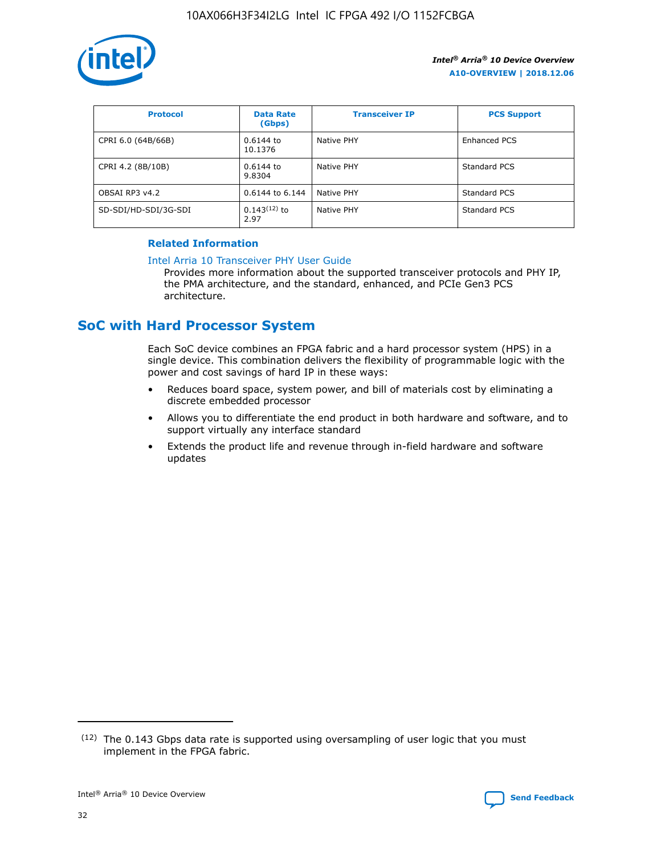

| <b>Protocol</b>      | <b>Data Rate</b><br>(Gbps) | <b>Transceiver IP</b> | <b>PCS Support</b> |
|----------------------|----------------------------|-----------------------|--------------------|
| CPRI 6.0 (64B/66B)   | 0.6144 to<br>10.1376       | Native PHY            | Enhanced PCS       |
| CPRI 4.2 (8B/10B)    | 0.6144 to<br>9.8304        | Native PHY            | Standard PCS       |
| OBSAI RP3 v4.2       | 0.6144 to 6.144            | Native PHY            | Standard PCS       |
| SD-SDI/HD-SDI/3G-SDI | $0.143(12)$ to<br>2.97     | Native PHY            | Standard PCS       |

## **Related Information**

#### [Intel Arria 10 Transceiver PHY User Guide](https://www.intel.com/content/www/us/en/programmable/documentation/nik1398707230472.html#nik1398707091164)

Provides more information about the supported transceiver protocols and PHY IP, the PMA architecture, and the standard, enhanced, and PCIe Gen3 PCS architecture.

# **SoC with Hard Processor System**

Each SoC device combines an FPGA fabric and a hard processor system (HPS) in a single device. This combination delivers the flexibility of programmable logic with the power and cost savings of hard IP in these ways:

- Reduces board space, system power, and bill of materials cost by eliminating a discrete embedded processor
- Allows you to differentiate the end product in both hardware and software, and to support virtually any interface standard
- Extends the product life and revenue through in-field hardware and software updates

<sup>(12)</sup> The 0.143 Gbps data rate is supported using oversampling of user logic that you must implement in the FPGA fabric.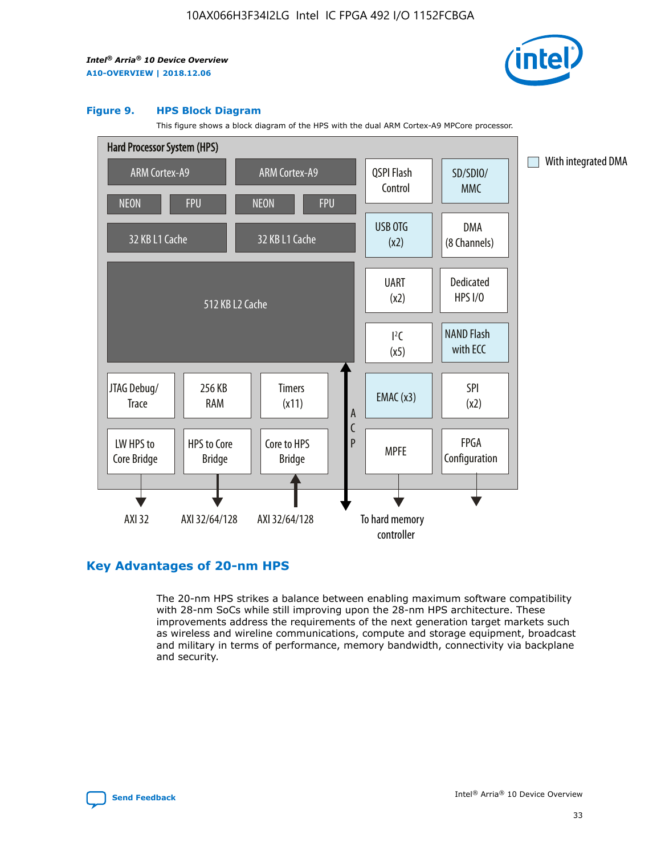

#### **Figure 9. HPS Block Diagram**

This figure shows a block diagram of the HPS with the dual ARM Cortex-A9 MPCore processor.



# **Key Advantages of 20-nm HPS**

The 20-nm HPS strikes a balance between enabling maximum software compatibility with 28-nm SoCs while still improving upon the 28-nm HPS architecture. These improvements address the requirements of the next generation target markets such as wireless and wireline communications, compute and storage equipment, broadcast and military in terms of performance, memory bandwidth, connectivity via backplane and security.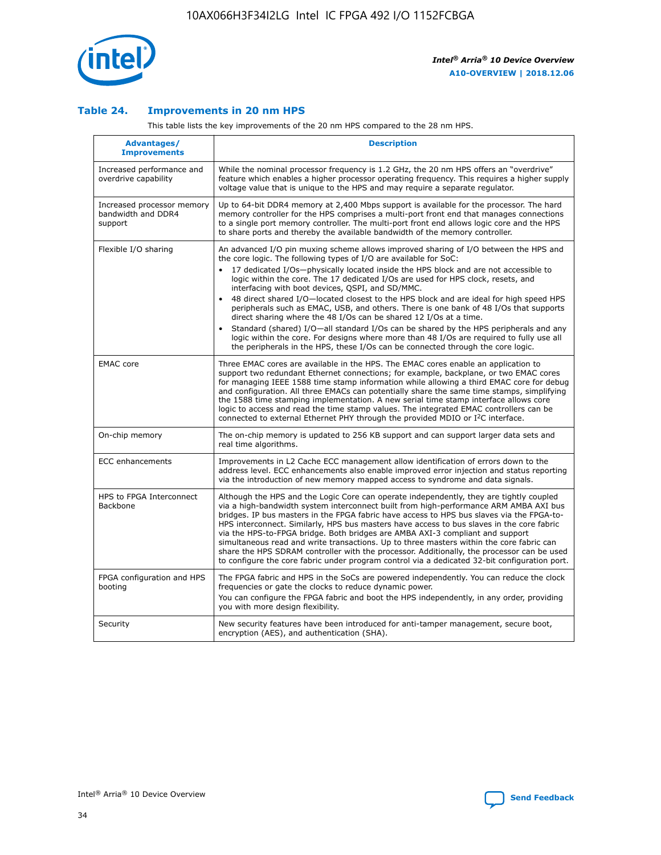

## **Table 24. Improvements in 20 nm HPS**

This table lists the key improvements of the 20 nm HPS compared to the 28 nm HPS.

| <b>Advantages/</b><br><b>Improvements</b>                   | <b>Description</b>                                                                                                                                                                                                                                                                                                                                                                                                                                                                                                                                                                                                                                                                                                                                                                                                                                                                                                      |
|-------------------------------------------------------------|-------------------------------------------------------------------------------------------------------------------------------------------------------------------------------------------------------------------------------------------------------------------------------------------------------------------------------------------------------------------------------------------------------------------------------------------------------------------------------------------------------------------------------------------------------------------------------------------------------------------------------------------------------------------------------------------------------------------------------------------------------------------------------------------------------------------------------------------------------------------------------------------------------------------------|
| Increased performance and<br>overdrive capability           | While the nominal processor frequency is 1.2 GHz, the 20 nm HPS offers an "overdrive"<br>feature which enables a higher processor operating frequency. This requires a higher supply<br>voltage value that is unique to the HPS and may require a separate regulator.                                                                                                                                                                                                                                                                                                                                                                                                                                                                                                                                                                                                                                                   |
| Increased processor memory<br>bandwidth and DDR4<br>support | Up to 64-bit DDR4 memory at 2,400 Mbps support is available for the processor. The hard<br>memory controller for the HPS comprises a multi-port front end that manages connections<br>to a single port memory controller. The multi-port front end allows logic core and the HPS<br>to share ports and thereby the available bandwidth of the memory controller.                                                                                                                                                                                                                                                                                                                                                                                                                                                                                                                                                        |
| Flexible I/O sharing                                        | An advanced I/O pin muxing scheme allows improved sharing of I/O between the HPS and<br>the core logic. The following types of I/O are available for SoC:<br>17 dedicated I/Os-physically located inside the HPS block and are not accessible to<br>logic within the core. The 17 dedicated I/Os are used for HPS clock, resets, and<br>interfacing with boot devices, QSPI, and SD/MMC.<br>48 direct shared I/O-located closest to the HPS block and are ideal for high speed HPS<br>peripherals such as EMAC, USB, and others. There is one bank of 48 I/Os that supports<br>direct sharing where the 48 I/Os can be shared 12 I/Os at a time.<br>Standard (shared) I/O-all standard I/Os can be shared by the HPS peripherals and any<br>logic within the core. For designs where more than 48 I/Os are required to fully use all<br>the peripherals in the HPS, these I/Os can be connected through the core logic. |
| <b>EMAC</b> core                                            | Three EMAC cores are available in the HPS. The EMAC cores enable an application to<br>support two redundant Ethernet connections; for example, backplane, or two EMAC cores<br>for managing IEEE 1588 time stamp information while allowing a third EMAC core for debug<br>and configuration. All three EMACs can potentially share the same time stamps, simplifying<br>the 1588 time stamping implementation. A new serial time stamp interface allows core<br>logic to access and read the time stamp values. The integrated EMAC controllers can be<br>connected to external Ethernet PHY through the provided MDIO or I <sup>2</sup> C interface.                                                                                                                                                                                                                                                                  |
| On-chip memory                                              | The on-chip memory is updated to 256 KB support and can support larger data sets and<br>real time algorithms.                                                                                                                                                                                                                                                                                                                                                                                                                                                                                                                                                                                                                                                                                                                                                                                                           |
| <b>ECC</b> enhancements                                     | Improvements in L2 Cache ECC management allow identification of errors down to the<br>address level. ECC enhancements also enable improved error injection and status reporting<br>via the introduction of new memory mapped access to syndrome and data signals.                                                                                                                                                                                                                                                                                                                                                                                                                                                                                                                                                                                                                                                       |
| HPS to FPGA Interconnect<br>Backbone                        | Although the HPS and the Logic Core can operate independently, they are tightly coupled<br>via a high-bandwidth system interconnect built from high-performance ARM AMBA AXI bus<br>bridges. IP bus masters in the FPGA fabric have access to HPS bus slaves via the FPGA-to-<br>HPS interconnect. Similarly, HPS bus masters have access to bus slaves in the core fabric<br>via the HPS-to-FPGA bridge. Both bridges are AMBA AXI-3 compliant and support<br>simultaneous read and write transactions. Up to three masters within the core fabric can<br>share the HPS SDRAM controller with the processor. Additionally, the processor can be used<br>to configure the core fabric under program control via a dedicated 32-bit configuration port.                                                                                                                                                                  |
| FPGA configuration and HPS<br>booting                       | The FPGA fabric and HPS in the SoCs are powered independently. You can reduce the clock<br>frequencies or gate the clocks to reduce dynamic power.<br>You can configure the FPGA fabric and boot the HPS independently, in any order, providing<br>you with more design flexibility.                                                                                                                                                                                                                                                                                                                                                                                                                                                                                                                                                                                                                                    |
| Security                                                    | New security features have been introduced for anti-tamper management, secure boot,<br>encryption (AES), and authentication (SHA).                                                                                                                                                                                                                                                                                                                                                                                                                                                                                                                                                                                                                                                                                                                                                                                      |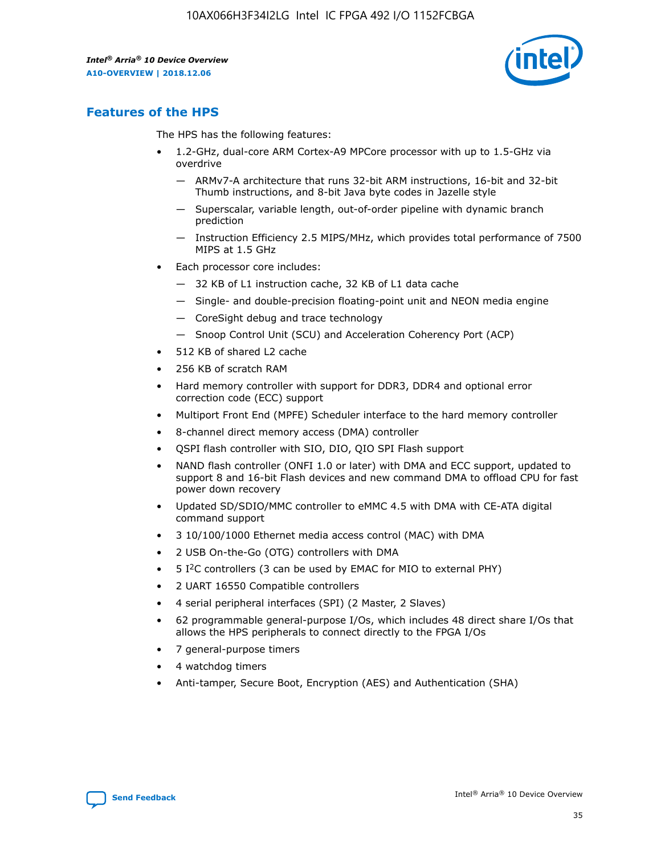

# **Features of the HPS**

The HPS has the following features:

- 1.2-GHz, dual-core ARM Cortex-A9 MPCore processor with up to 1.5-GHz via overdrive
	- ARMv7-A architecture that runs 32-bit ARM instructions, 16-bit and 32-bit Thumb instructions, and 8-bit Java byte codes in Jazelle style
	- Superscalar, variable length, out-of-order pipeline with dynamic branch prediction
	- Instruction Efficiency 2.5 MIPS/MHz, which provides total performance of 7500 MIPS at 1.5 GHz
- Each processor core includes:
	- 32 KB of L1 instruction cache, 32 KB of L1 data cache
	- Single- and double-precision floating-point unit and NEON media engine
	- CoreSight debug and trace technology
	- Snoop Control Unit (SCU) and Acceleration Coherency Port (ACP)
- 512 KB of shared L2 cache
- 256 KB of scratch RAM
- Hard memory controller with support for DDR3, DDR4 and optional error correction code (ECC) support
- Multiport Front End (MPFE) Scheduler interface to the hard memory controller
- 8-channel direct memory access (DMA) controller
- QSPI flash controller with SIO, DIO, QIO SPI Flash support
- NAND flash controller (ONFI 1.0 or later) with DMA and ECC support, updated to support 8 and 16-bit Flash devices and new command DMA to offload CPU for fast power down recovery
- Updated SD/SDIO/MMC controller to eMMC 4.5 with DMA with CE-ATA digital command support
- 3 10/100/1000 Ethernet media access control (MAC) with DMA
- 2 USB On-the-Go (OTG) controllers with DMA
- $\bullet$  5 I<sup>2</sup>C controllers (3 can be used by EMAC for MIO to external PHY)
- 2 UART 16550 Compatible controllers
- 4 serial peripheral interfaces (SPI) (2 Master, 2 Slaves)
- 62 programmable general-purpose I/Os, which includes 48 direct share I/Os that allows the HPS peripherals to connect directly to the FPGA I/Os
- 7 general-purpose timers
- 4 watchdog timers
- Anti-tamper, Secure Boot, Encryption (AES) and Authentication (SHA)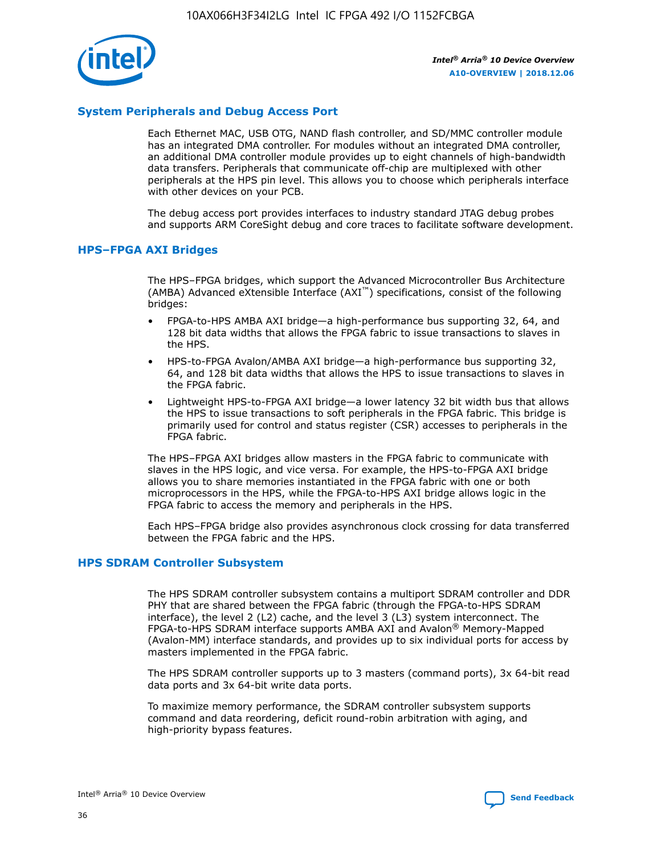

## **System Peripherals and Debug Access Port**

Each Ethernet MAC, USB OTG, NAND flash controller, and SD/MMC controller module has an integrated DMA controller. For modules without an integrated DMA controller, an additional DMA controller module provides up to eight channels of high-bandwidth data transfers. Peripherals that communicate off-chip are multiplexed with other peripherals at the HPS pin level. This allows you to choose which peripherals interface with other devices on your PCB.

The debug access port provides interfaces to industry standard JTAG debug probes and supports ARM CoreSight debug and core traces to facilitate software development.

#### **HPS–FPGA AXI Bridges**

The HPS–FPGA bridges, which support the Advanced Microcontroller Bus Architecture (AMBA) Advanced eXtensible Interface (AXI™) specifications, consist of the following bridges:

- FPGA-to-HPS AMBA AXI bridge—a high-performance bus supporting 32, 64, and 128 bit data widths that allows the FPGA fabric to issue transactions to slaves in the HPS.
- HPS-to-FPGA Avalon/AMBA AXI bridge—a high-performance bus supporting 32, 64, and 128 bit data widths that allows the HPS to issue transactions to slaves in the FPGA fabric.
- Lightweight HPS-to-FPGA AXI bridge—a lower latency 32 bit width bus that allows the HPS to issue transactions to soft peripherals in the FPGA fabric. This bridge is primarily used for control and status register (CSR) accesses to peripherals in the FPGA fabric.

The HPS–FPGA AXI bridges allow masters in the FPGA fabric to communicate with slaves in the HPS logic, and vice versa. For example, the HPS-to-FPGA AXI bridge allows you to share memories instantiated in the FPGA fabric with one or both microprocessors in the HPS, while the FPGA-to-HPS AXI bridge allows logic in the FPGA fabric to access the memory and peripherals in the HPS.

Each HPS–FPGA bridge also provides asynchronous clock crossing for data transferred between the FPGA fabric and the HPS.

#### **HPS SDRAM Controller Subsystem**

The HPS SDRAM controller subsystem contains a multiport SDRAM controller and DDR PHY that are shared between the FPGA fabric (through the FPGA-to-HPS SDRAM interface), the level 2 (L2) cache, and the level 3 (L3) system interconnect. The FPGA-to-HPS SDRAM interface supports AMBA AXI and Avalon® Memory-Mapped (Avalon-MM) interface standards, and provides up to six individual ports for access by masters implemented in the FPGA fabric.

The HPS SDRAM controller supports up to 3 masters (command ports), 3x 64-bit read data ports and 3x 64-bit write data ports.

To maximize memory performance, the SDRAM controller subsystem supports command and data reordering, deficit round-robin arbitration with aging, and high-priority bypass features.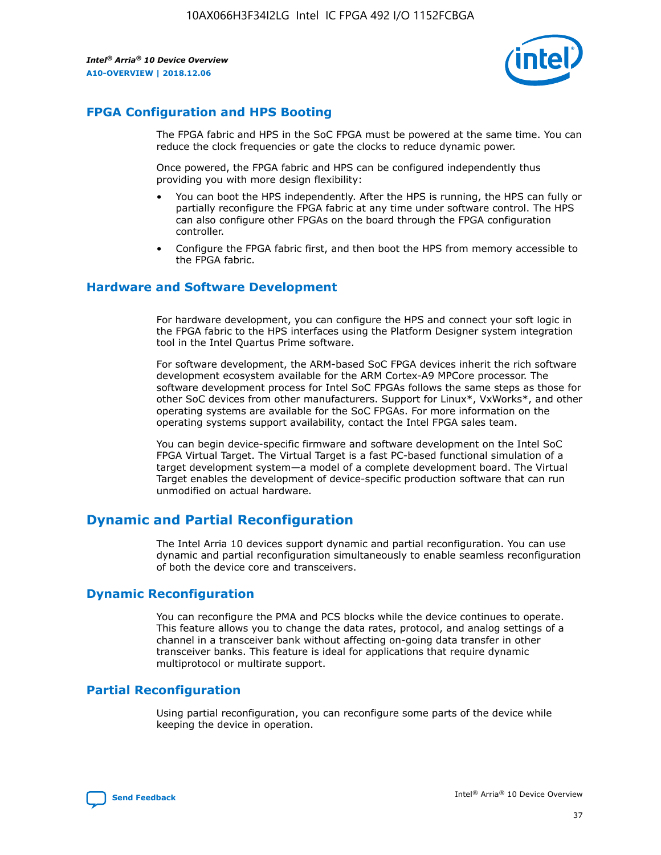

# **FPGA Configuration and HPS Booting**

The FPGA fabric and HPS in the SoC FPGA must be powered at the same time. You can reduce the clock frequencies or gate the clocks to reduce dynamic power.

Once powered, the FPGA fabric and HPS can be configured independently thus providing you with more design flexibility:

- You can boot the HPS independently. After the HPS is running, the HPS can fully or partially reconfigure the FPGA fabric at any time under software control. The HPS can also configure other FPGAs on the board through the FPGA configuration controller.
- Configure the FPGA fabric first, and then boot the HPS from memory accessible to the FPGA fabric.

## **Hardware and Software Development**

For hardware development, you can configure the HPS and connect your soft logic in the FPGA fabric to the HPS interfaces using the Platform Designer system integration tool in the Intel Quartus Prime software.

For software development, the ARM-based SoC FPGA devices inherit the rich software development ecosystem available for the ARM Cortex-A9 MPCore processor. The software development process for Intel SoC FPGAs follows the same steps as those for other SoC devices from other manufacturers. Support for Linux\*, VxWorks\*, and other operating systems are available for the SoC FPGAs. For more information on the operating systems support availability, contact the Intel FPGA sales team.

You can begin device-specific firmware and software development on the Intel SoC FPGA Virtual Target. The Virtual Target is a fast PC-based functional simulation of a target development system—a model of a complete development board. The Virtual Target enables the development of device-specific production software that can run unmodified on actual hardware.

# **Dynamic and Partial Reconfiguration**

The Intel Arria 10 devices support dynamic and partial reconfiguration. You can use dynamic and partial reconfiguration simultaneously to enable seamless reconfiguration of both the device core and transceivers.

# **Dynamic Reconfiguration**

You can reconfigure the PMA and PCS blocks while the device continues to operate. This feature allows you to change the data rates, protocol, and analog settings of a channel in a transceiver bank without affecting on-going data transfer in other transceiver banks. This feature is ideal for applications that require dynamic multiprotocol or multirate support.

# **Partial Reconfiguration**

Using partial reconfiguration, you can reconfigure some parts of the device while keeping the device in operation.

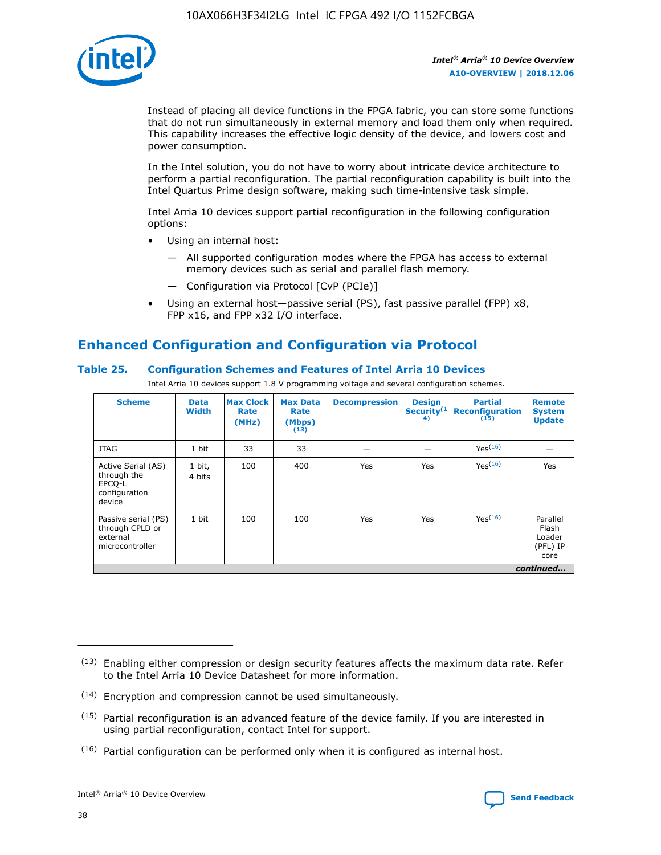

Instead of placing all device functions in the FPGA fabric, you can store some functions that do not run simultaneously in external memory and load them only when required. This capability increases the effective logic density of the device, and lowers cost and power consumption.

In the Intel solution, you do not have to worry about intricate device architecture to perform a partial reconfiguration. The partial reconfiguration capability is built into the Intel Quartus Prime design software, making such time-intensive task simple.

Intel Arria 10 devices support partial reconfiguration in the following configuration options:

- Using an internal host:
	- All supported configuration modes where the FPGA has access to external memory devices such as serial and parallel flash memory.
	- Configuration via Protocol [CvP (PCIe)]
- Using an external host—passive serial (PS), fast passive parallel (FPP) x8, FPP x16, and FPP x32 I/O interface.

# **Enhanced Configuration and Configuration via Protocol**

## **Table 25. Configuration Schemes and Features of Intel Arria 10 Devices**

Intel Arria 10 devices support 1.8 V programming voltage and several configuration schemes.

| <b>Scheme</b>                                                          | <b>Data</b><br><b>Width</b> | <b>Max Clock</b><br>Rate<br>(MHz) | <b>Max Data</b><br>Rate<br>(Mbps)<br>(13) | <b>Decompression</b> | <b>Design</b><br>Security <sup>(1</sup><br>4) | <b>Partial</b><br><b>Reconfiguration</b><br>(15) | <b>Remote</b><br><b>System</b><br><b>Update</b> |
|------------------------------------------------------------------------|-----------------------------|-----------------------------------|-------------------------------------------|----------------------|-----------------------------------------------|--------------------------------------------------|-------------------------------------------------|
| <b>JTAG</b>                                                            | 1 bit                       | 33                                | 33                                        |                      |                                               | Yes(16)                                          |                                                 |
| Active Serial (AS)<br>through the<br>EPCO-L<br>configuration<br>device | 1 bit,<br>4 bits            | 100                               | 400                                       | Yes                  | Yes                                           | $Y_{PS}(16)$                                     | Yes                                             |
| Passive serial (PS)<br>through CPLD or<br>external<br>microcontroller  | 1 bit                       | 100                               | 100                                       | Yes                  | Yes                                           | Yes(16)                                          | Parallel<br>Flash<br>Loader<br>(PFL) IP<br>core |
|                                                                        |                             |                                   |                                           |                      |                                               |                                                  | continued                                       |

<sup>(13)</sup> Enabling either compression or design security features affects the maximum data rate. Refer to the Intel Arria 10 Device Datasheet for more information.

<sup>(14)</sup> Encryption and compression cannot be used simultaneously.

 $(15)$  Partial reconfiguration is an advanced feature of the device family. If you are interested in using partial reconfiguration, contact Intel for support.

 $(16)$  Partial configuration can be performed only when it is configured as internal host.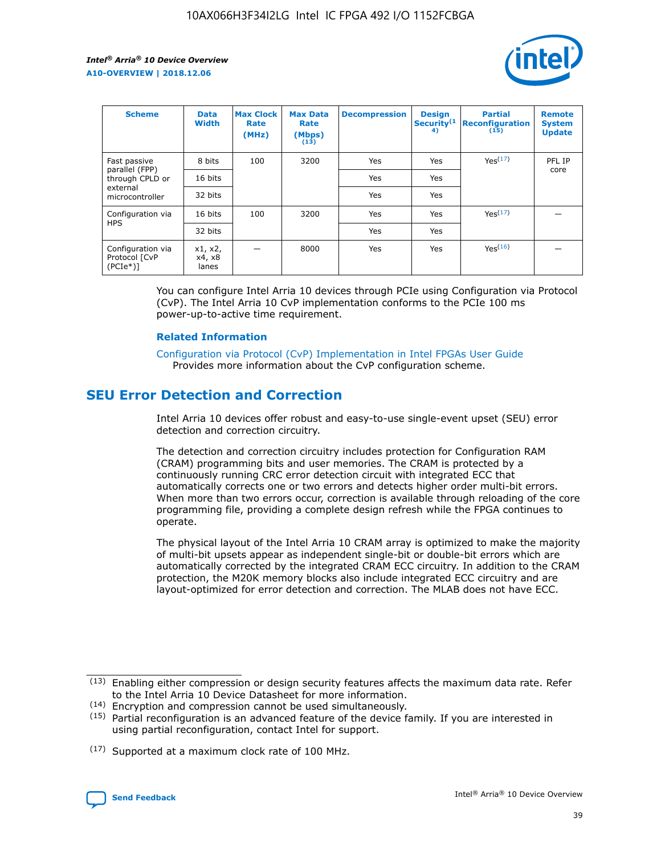

| <b>Scheme</b>                                    | <b>Data</b><br><b>Width</b> | <b>Max Clock</b><br>Rate<br>(MHz) | <b>Max Data</b><br>Rate<br>(Mbps)<br>(13) | <b>Decompression</b> | <b>Design</b><br>Security <sup>(1</sup><br>4) | <b>Partial</b><br><b>Reconfiguration</b><br>(15) | <b>Remote</b><br><b>System</b><br><b>Update</b> |
|--------------------------------------------------|-----------------------------|-----------------------------------|-------------------------------------------|----------------------|-----------------------------------------------|--------------------------------------------------|-------------------------------------------------|
| Fast passive                                     | 8 bits                      | 100                               | 3200                                      | Yes                  | Yes                                           | Yes(17)                                          | PFL IP                                          |
| parallel (FPP)<br>through CPLD or                | 16 bits                     |                                   |                                           | Yes                  | Yes                                           |                                                  | core                                            |
| external<br>microcontroller                      | 32 bits                     |                                   |                                           | Yes                  | Yes                                           |                                                  |                                                 |
| Configuration via                                | 16 bits                     | 100                               | 3200                                      | Yes                  | Yes                                           | Yes <sup>(17)</sup>                              |                                                 |
| <b>HPS</b>                                       | 32 bits                     |                                   |                                           | Yes                  | Yes                                           |                                                  |                                                 |
| Configuration via<br>Protocol [CvP<br>$(PCIe^*)$ | x1, x2,<br>x4, x8<br>lanes  |                                   | 8000                                      | Yes                  | Yes                                           | Yes(16)                                          |                                                 |

You can configure Intel Arria 10 devices through PCIe using Configuration via Protocol (CvP). The Intel Arria 10 CvP implementation conforms to the PCIe 100 ms power-up-to-active time requirement.

#### **Related Information**

[Configuration via Protocol \(CvP\) Implementation in Intel FPGAs User Guide](https://www.intel.com/content/www/us/en/programmable/documentation/dsu1441819344145.html#dsu1442269728522) Provides more information about the CvP configuration scheme.

# **SEU Error Detection and Correction**

Intel Arria 10 devices offer robust and easy-to-use single-event upset (SEU) error detection and correction circuitry.

The detection and correction circuitry includes protection for Configuration RAM (CRAM) programming bits and user memories. The CRAM is protected by a continuously running CRC error detection circuit with integrated ECC that automatically corrects one or two errors and detects higher order multi-bit errors. When more than two errors occur, correction is available through reloading of the core programming file, providing a complete design refresh while the FPGA continues to operate.

The physical layout of the Intel Arria 10 CRAM array is optimized to make the majority of multi-bit upsets appear as independent single-bit or double-bit errors which are automatically corrected by the integrated CRAM ECC circuitry. In addition to the CRAM protection, the M20K memory blocks also include integrated ECC circuitry and are layout-optimized for error detection and correction. The MLAB does not have ECC.

(14) Encryption and compression cannot be used simultaneously.

<sup>(17)</sup> Supported at a maximum clock rate of 100 MHz.



 $(13)$  Enabling either compression or design security features affects the maximum data rate. Refer to the Intel Arria 10 Device Datasheet for more information.

 $(15)$  Partial reconfiguration is an advanced feature of the device family. If you are interested in using partial reconfiguration, contact Intel for support.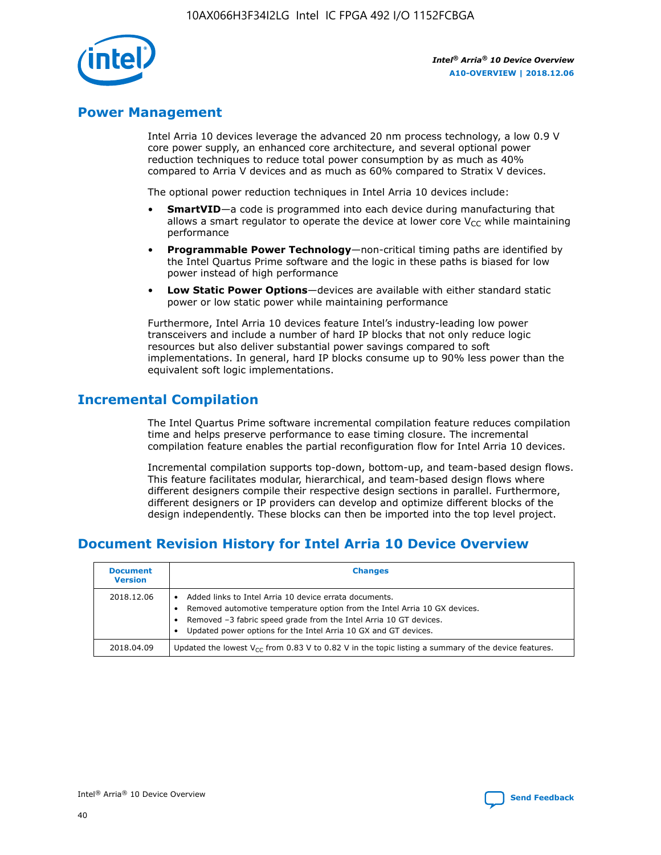

# **Power Management**

Intel Arria 10 devices leverage the advanced 20 nm process technology, a low 0.9 V core power supply, an enhanced core architecture, and several optional power reduction techniques to reduce total power consumption by as much as 40% compared to Arria V devices and as much as 60% compared to Stratix V devices.

The optional power reduction techniques in Intel Arria 10 devices include:

- **SmartVID**—a code is programmed into each device during manufacturing that allows a smart regulator to operate the device at lower core  $V_{CC}$  while maintaining performance
- **Programmable Power Technology**—non-critical timing paths are identified by the Intel Quartus Prime software and the logic in these paths is biased for low power instead of high performance
- **Low Static Power Options**—devices are available with either standard static power or low static power while maintaining performance

Furthermore, Intel Arria 10 devices feature Intel's industry-leading low power transceivers and include a number of hard IP blocks that not only reduce logic resources but also deliver substantial power savings compared to soft implementations. In general, hard IP blocks consume up to 90% less power than the equivalent soft logic implementations.

# **Incremental Compilation**

The Intel Quartus Prime software incremental compilation feature reduces compilation time and helps preserve performance to ease timing closure. The incremental compilation feature enables the partial reconfiguration flow for Intel Arria 10 devices.

Incremental compilation supports top-down, bottom-up, and team-based design flows. This feature facilitates modular, hierarchical, and team-based design flows where different designers compile their respective design sections in parallel. Furthermore, different designers or IP providers can develop and optimize different blocks of the design independently. These blocks can then be imported into the top level project.

# **Document Revision History for Intel Arria 10 Device Overview**

| <b>Document</b><br><b>Version</b> | <b>Changes</b>                                                                                                                                                                                                                                                              |
|-----------------------------------|-----------------------------------------------------------------------------------------------------------------------------------------------------------------------------------------------------------------------------------------------------------------------------|
| 2018.12.06                        | Added links to Intel Arria 10 device errata documents.<br>Removed automotive temperature option from the Intel Arria 10 GX devices.<br>Removed -3 fabric speed grade from the Intel Arria 10 GT devices.<br>Updated power options for the Intel Arria 10 GX and GT devices. |
| 2018.04.09                        | Updated the lowest $V_{CC}$ from 0.83 V to 0.82 V in the topic listing a summary of the device features.                                                                                                                                                                    |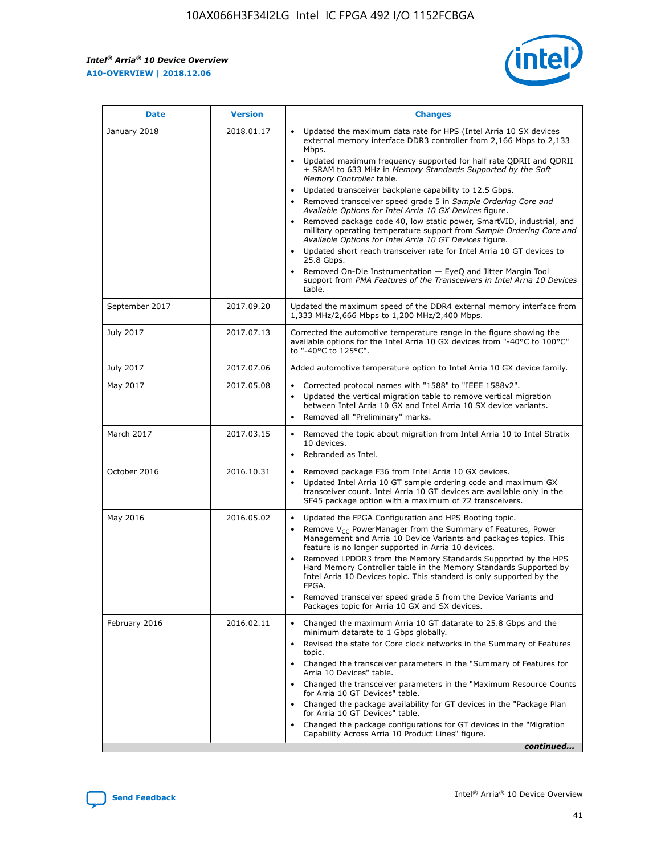*Intel® Arria® 10 Device Overview* **A10-OVERVIEW | 2018.12.06**



| <b>Date</b>    | <b>Version</b> | <b>Changes</b>                                                                                                                                                                                                                                                                                                                                                                                                                                                                                                                                                                                                                                                                                                                                                                                                                                                                                                                                                            |
|----------------|----------------|---------------------------------------------------------------------------------------------------------------------------------------------------------------------------------------------------------------------------------------------------------------------------------------------------------------------------------------------------------------------------------------------------------------------------------------------------------------------------------------------------------------------------------------------------------------------------------------------------------------------------------------------------------------------------------------------------------------------------------------------------------------------------------------------------------------------------------------------------------------------------------------------------------------------------------------------------------------------------|
| January 2018   | 2018.01.17     | Updated the maximum data rate for HPS (Intel Arria 10 SX devices<br>external memory interface DDR3 controller from 2,166 Mbps to 2,133<br>Mbps.<br>Updated maximum frequency supported for half rate QDRII and QDRII<br>+ SRAM to 633 MHz in Memory Standards Supported by the Soft<br>Memory Controller table.<br>Updated transceiver backplane capability to 12.5 Gbps.<br>$\bullet$<br>Removed transceiver speed grade 5 in Sample Ordering Core and<br>Available Options for Intel Arria 10 GX Devices figure.<br>Removed package code 40, low static power, SmartVID, industrial, and<br>military operating temperature support from Sample Ordering Core and<br>Available Options for Intel Arria 10 GT Devices figure.<br>Updated short reach transceiver rate for Intel Arria 10 GT devices to<br>25.8 Gbps.<br>Removed On-Die Instrumentation - EyeQ and Jitter Margin Tool<br>support from PMA Features of the Transceivers in Intel Arria 10 Devices<br>table. |
| September 2017 | 2017.09.20     | Updated the maximum speed of the DDR4 external memory interface from<br>1,333 MHz/2,666 Mbps to 1,200 MHz/2,400 Mbps.                                                                                                                                                                                                                                                                                                                                                                                                                                                                                                                                                                                                                                                                                                                                                                                                                                                     |
| July 2017      | 2017.07.13     | Corrected the automotive temperature range in the figure showing the<br>available options for the Intel Arria 10 GX devices from "-40°C to 100°C"<br>to "-40°C to 125°C".                                                                                                                                                                                                                                                                                                                                                                                                                                                                                                                                                                                                                                                                                                                                                                                                 |
| July 2017      | 2017.07.06     | Added automotive temperature option to Intel Arria 10 GX device family.                                                                                                                                                                                                                                                                                                                                                                                                                                                                                                                                                                                                                                                                                                                                                                                                                                                                                                   |
| May 2017       | 2017.05.08     | Corrected protocol names with "1588" to "IEEE 1588v2".<br>Updated the vertical migration table to remove vertical migration<br>between Intel Arria 10 GX and Intel Arria 10 SX device variants.<br>Removed all "Preliminary" marks.                                                                                                                                                                                                                                                                                                                                                                                                                                                                                                                                                                                                                                                                                                                                       |
| March 2017     | 2017.03.15     | Removed the topic about migration from Intel Arria 10 to Intel Stratix<br>10 devices.<br>Rebranded as Intel.<br>$\bullet$                                                                                                                                                                                                                                                                                                                                                                                                                                                                                                                                                                                                                                                                                                                                                                                                                                                 |
| October 2016   | 2016.10.31     | Removed package F36 from Intel Arria 10 GX devices.<br>Updated Intel Arria 10 GT sample ordering code and maximum GX<br>$\bullet$<br>transceiver count. Intel Arria 10 GT devices are available only in the<br>SF45 package option with a maximum of 72 transceivers.                                                                                                                                                                                                                                                                                                                                                                                                                                                                                                                                                                                                                                                                                                     |
| May 2016       | 2016.05.02     | Updated the FPGA Configuration and HPS Booting topic.<br>Remove V <sub>CC</sub> PowerManager from the Summary of Features, Power<br>Management and Arria 10 Device Variants and packages topics. This<br>feature is no longer supported in Arria 10 devices.<br>Removed LPDDR3 from the Memory Standards Supported by the HPS<br>Hard Memory Controller table in the Memory Standards Supported by<br>Intel Arria 10 Devices topic. This standard is only supported by the<br>FPGA.<br>Removed transceiver speed grade 5 from the Device Variants and<br>Packages topic for Arria 10 GX and SX devices.                                                                                                                                                                                                                                                                                                                                                                   |
| February 2016  | 2016.02.11     | Changed the maximum Arria 10 GT datarate to 25.8 Gbps and the<br>minimum datarate to 1 Gbps globally.<br>Revised the state for Core clock networks in the Summary of Features<br>$\bullet$<br>topic.<br>Changed the transceiver parameters in the "Summary of Features for<br>Arria 10 Devices" table.<br>• Changed the transceiver parameters in the "Maximum Resource Counts<br>for Arria 10 GT Devices" table.<br>• Changed the package availability for GT devices in the "Package Plan<br>for Arria 10 GT Devices" table.<br>Changed the package configurations for GT devices in the "Migration"<br>Capability Across Arria 10 Product Lines" figure.<br>continued                                                                                                                                                                                                                                                                                                  |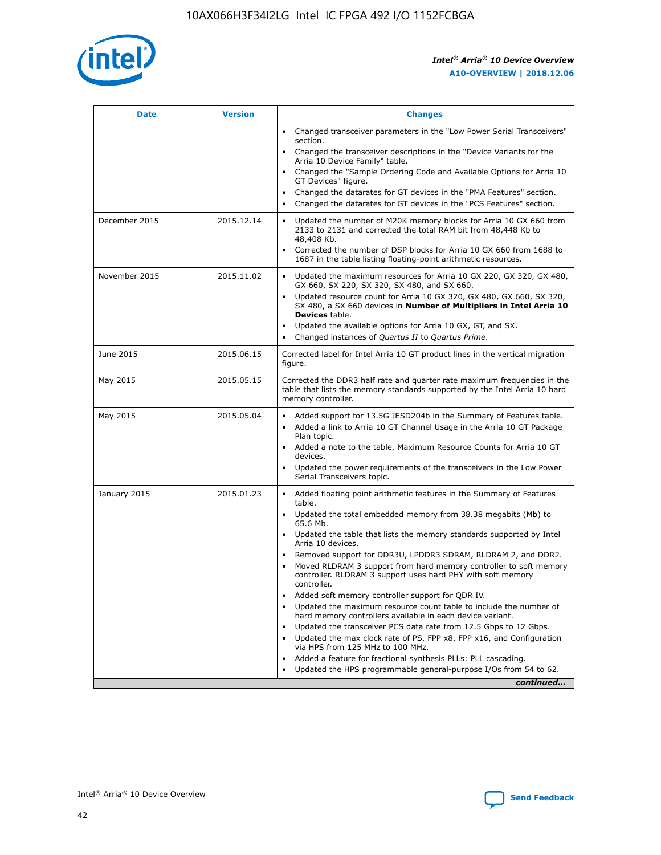

| <b>Date</b>   | <b>Version</b> | <b>Changes</b>                                                                                                                                                               |
|---------------|----------------|------------------------------------------------------------------------------------------------------------------------------------------------------------------------------|
|               |                | • Changed transceiver parameters in the "Low Power Serial Transceivers"<br>section.                                                                                          |
|               |                | • Changed the transceiver descriptions in the "Device Variants for the<br>Arria 10 Device Family" table.                                                                     |
|               |                | Changed the "Sample Ordering Code and Available Options for Arria 10<br>$\bullet$<br>GT Devices" figure.                                                                     |
|               |                | Changed the datarates for GT devices in the "PMA Features" section.                                                                                                          |
|               |                | Changed the datarates for GT devices in the "PCS Features" section.<br>$\bullet$                                                                                             |
| December 2015 | 2015.12.14     | Updated the number of M20K memory blocks for Arria 10 GX 660 from<br>2133 to 2131 and corrected the total RAM bit from 48,448 Kb to<br>48,408 Kb.                            |
|               |                | Corrected the number of DSP blocks for Arria 10 GX 660 from 1688 to<br>1687 in the table listing floating-point arithmetic resources.                                        |
| November 2015 | 2015.11.02     | Updated the maximum resources for Arria 10 GX 220, GX 320, GX 480,<br>$\bullet$<br>GX 660, SX 220, SX 320, SX 480, and SX 660.                                               |
|               |                | • Updated resource count for Arria 10 GX 320, GX 480, GX 660, SX 320,<br>SX 480, a SX 660 devices in Number of Multipliers in Intel Arria 10<br><b>Devices</b> table.        |
|               |                | Updated the available options for Arria 10 GX, GT, and SX.                                                                                                                   |
|               |                | Changed instances of Quartus II to Quartus Prime.<br>$\bullet$                                                                                                               |
| June 2015     | 2015.06.15     | Corrected label for Intel Arria 10 GT product lines in the vertical migration<br>figure.                                                                                     |
| May 2015      | 2015.05.15     | Corrected the DDR3 half rate and quarter rate maximum frequencies in the<br>table that lists the memory standards supported by the Intel Arria 10 hard<br>memory controller. |
| May 2015      | 2015.05.04     | • Added support for 13.5G JESD204b in the Summary of Features table.<br>• Added a link to Arria 10 GT Channel Usage in the Arria 10 GT Package<br>Plan topic.                |
|               |                | • Added a note to the table, Maximum Resource Counts for Arria 10 GT<br>devices.                                                                                             |
|               |                | • Updated the power requirements of the transceivers in the Low Power<br>Serial Transceivers topic.                                                                          |
| January 2015  | 2015.01.23     | • Added floating point arithmetic features in the Summary of Features<br>table.                                                                                              |
|               |                | • Updated the total embedded memory from 38.38 megabits (Mb) to<br>65.6 Mb.                                                                                                  |
|               |                | • Updated the table that lists the memory standards supported by Intel<br>Arria 10 devices.                                                                                  |
|               |                | Removed support for DDR3U, LPDDR3 SDRAM, RLDRAM 2, and DDR2.                                                                                                                 |
|               |                | Moved RLDRAM 3 support from hard memory controller to soft memory<br>controller. RLDRAM 3 support uses hard PHY with soft memory<br>controller.                              |
|               |                | Added soft memory controller support for QDR IV.<br>٠                                                                                                                        |
|               |                | Updated the maximum resource count table to include the number of<br>hard memory controllers available in each device variant.                                               |
|               |                | Updated the transceiver PCS data rate from 12.5 Gbps to 12 Gbps.<br>$\bullet$                                                                                                |
|               |                | Updated the max clock rate of PS, FPP x8, FPP x16, and Configuration<br>via HPS from 125 MHz to 100 MHz.                                                                     |
|               |                | Added a feature for fractional synthesis PLLs: PLL cascading.                                                                                                                |
|               |                | Updated the HPS programmable general-purpose I/Os from 54 to 62.<br>$\bullet$<br>continued                                                                                   |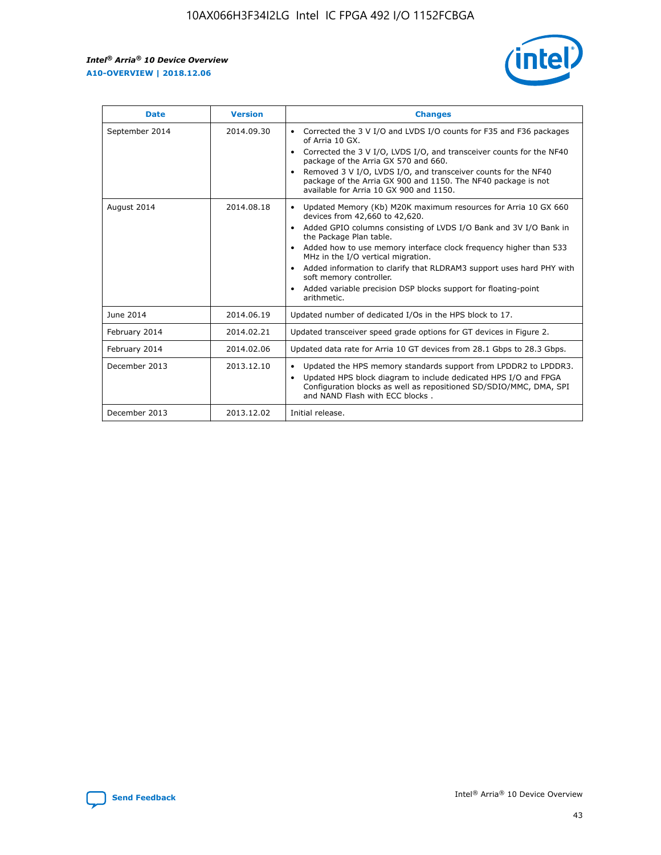r



| <b>Date</b>    | <b>Version</b> | <b>Changes</b>                                                                                                                                                                                                                                                                                                                                                                                                                                                                                                                                      |
|----------------|----------------|-----------------------------------------------------------------------------------------------------------------------------------------------------------------------------------------------------------------------------------------------------------------------------------------------------------------------------------------------------------------------------------------------------------------------------------------------------------------------------------------------------------------------------------------------------|
| September 2014 | 2014.09.30     | Corrected the 3 V I/O and LVDS I/O counts for F35 and F36 packages<br>$\bullet$<br>of Arria 10 GX.<br>Corrected the 3 V I/O, LVDS I/O, and transceiver counts for the NF40<br>$\bullet$<br>package of the Arria GX 570 and 660.<br>Removed 3 V I/O, LVDS I/O, and transceiver counts for the NF40<br>package of the Arria GX 900 and 1150. The NF40 package is not<br>available for Arria 10 GX 900 and 1150.                                                                                                                                       |
| August 2014    | 2014.08.18     | Updated Memory (Kb) M20K maximum resources for Arria 10 GX 660<br>devices from 42,660 to 42,620.<br>Added GPIO columns consisting of LVDS I/O Bank and 3V I/O Bank in<br>$\bullet$<br>the Package Plan table.<br>Added how to use memory interface clock frequency higher than 533<br>$\bullet$<br>MHz in the I/O vertical migration.<br>Added information to clarify that RLDRAM3 support uses hard PHY with<br>$\bullet$<br>soft memory controller.<br>Added variable precision DSP blocks support for floating-point<br>$\bullet$<br>arithmetic. |
| June 2014      | 2014.06.19     | Updated number of dedicated I/Os in the HPS block to 17.                                                                                                                                                                                                                                                                                                                                                                                                                                                                                            |
| February 2014  | 2014.02.21     | Updated transceiver speed grade options for GT devices in Figure 2.                                                                                                                                                                                                                                                                                                                                                                                                                                                                                 |
| February 2014  | 2014.02.06     | Updated data rate for Arria 10 GT devices from 28.1 Gbps to 28.3 Gbps.                                                                                                                                                                                                                                                                                                                                                                                                                                                                              |
| December 2013  | 2013.12.10     | Updated the HPS memory standards support from LPDDR2 to LPDDR3.<br>Updated HPS block diagram to include dedicated HPS I/O and FPGA<br>$\bullet$<br>Configuration blocks as well as repositioned SD/SDIO/MMC, DMA, SPI<br>and NAND Flash with ECC blocks.                                                                                                                                                                                                                                                                                            |
| December 2013  | 2013.12.02     | Initial release.                                                                                                                                                                                                                                                                                                                                                                                                                                                                                                                                    |